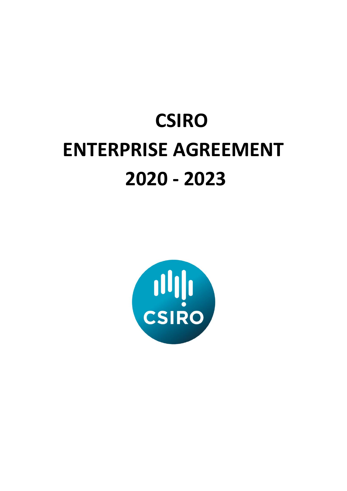# **CSIRO ENTERPRISE AGREEMENT 2020 - 2023**

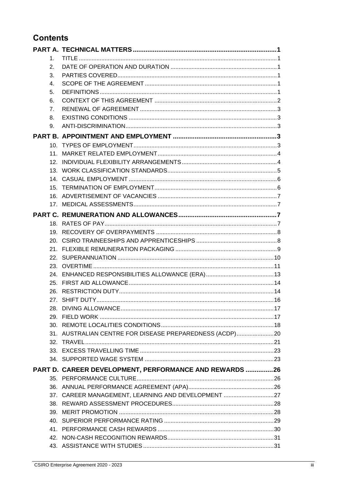# **Contents**

| $1_{-}$ |                                                         |  |
|---------|---------------------------------------------------------|--|
| 2.      |                                                         |  |
| 3.      |                                                         |  |
| 4.      |                                                         |  |
| 5.      |                                                         |  |
| 6.      |                                                         |  |
| 7.      |                                                         |  |
| 8.      |                                                         |  |
| 9.      |                                                         |  |
|         |                                                         |  |
|         |                                                         |  |
|         |                                                         |  |
|         |                                                         |  |
|         |                                                         |  |
|         |                                                         |  |
|         |                                                         |  |
|         |                                                         |  |
|         |                                                         |  |
|         |                                                         |  |
|         |                                                         |  |
|         |                                                         |  |
|         |                                                         |  |
|         |                                                         |  |
|         |                                                         |  |
|         |                                                         |  |
|         |                                                         |  |
|         |                                                         |  |
|         |                                                         |  |
|         |                                                         |  |
|         |                                                         |  |
|         |                                                         |  |
|         |                                                         |  |
|         | 31. AUSTRALIAN CENTRE FOR DISEASE PREPAREDNESS (ACDP)20 |  |
|         |                                                         |  |
|         |                                                         |  |
|         |                                                         |  |
|         | PART D. CAREER DEVELOPMENT, PERFORMANCE AND REWARDS 26  |  |
|         |                                                         |  |
|         |                                                         |  |
|         | 37. CAREER MANAGEMENT, LEARNING AND DEVELOPMENT 27      |  |
|         |                                                         |  |
|         |                                                         |  |
|         |                                                         |  |
|         |                                                         |  |
|         |                                                         |  |
|         |                                                         |  |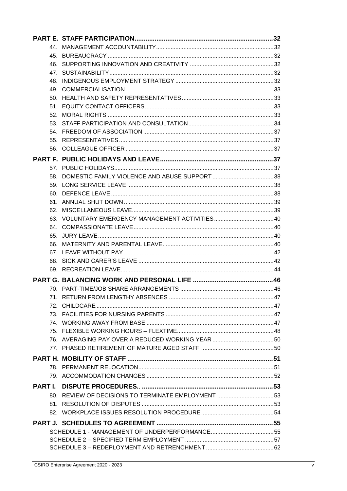| 80. REVIEW OF DECISIONS TO TERMINATE EMPLOYMENT 53 |  |
|----------------------------------------------------|--|
|                                                    |  |
|                                                    |  |
|                                                    |  |
|                                                    |  |
|                                                    |  |
|                                                    |  |
|                                                    |  |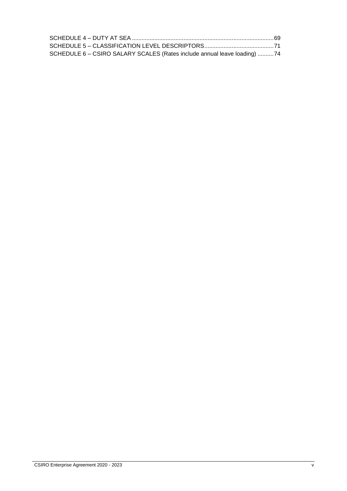| SCHEDULE 6 - CSIRO SALARY SCALES (Rates include annual leave loading) 74 |  |
|--------------------------------------------------------------------------|--|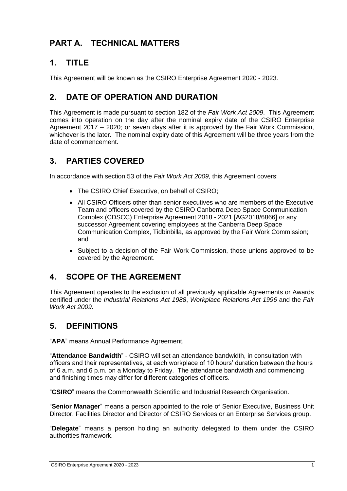# <span id="page-6-0"></span>**PART A. TECHNICAL MATTERS**

# <span id="page-6-1"></span>**1. TITLE**

This Agreement will be known as the CSIRO Enterprise Agreement 2020 - 2023.

# <span id="page-6-2"></span>**2. DATE OF OPERATION AND DURATION**

This Agreement is made pursuant to section 182 of the *Fair Work Act 2009*. This Agreement comes into operation on the day after the nominal expiry date of the CSIRO Enterprise Agreement 2017 – 2020; or seven days after it is approved by the Fair Work Commission, whichever is the later. The nominal expiry date of this Agreement will be three years from the date of commencement.

# <span id="page-6-3"></span>**3. PARTIES COVERED**

In accordance with section 53 of the *Fair Work Act 2009,* this Agreement covers:

- The CSIRO Chief Executive, on behalf of CSIRO;
- All CSIRO Officers other than senior executives who are members of the Executive Team and officers covered by the CSIRO Canberra Deep Space Communication Complex (CDSCC) Enterprise Agreement 2018 - 2021 [AG2018/6866] or any successor Agreement covering employees at the Canberra Deep Space Communication Complex, Tidbinbilla, as approved by the Fair Work Commission; and
- Subject to a decision of the Fair Work Commission, those unions approved to be covered by the Agreement.

# <span id="page-6-4"></span>**4. SCOPE OF THE AGREEMENT**

This Agreement operates to the exclusion of all previously applicable Agreements or Awards certified under the *Industrial Relations Act 1988*, *Workplace Relations Act 1996* and the *Fair Work Act 2009*.

# <span id="page-6-5"></span>**5. DEFINITIONS**

"**APA**" means Annual Performance Agreement.

"**Attendance Bandwidth**" - CSIRO will set an attendance bandwidth, in consultation with officers and their representatives, at each workplace of 10 hours' duration between the hours of 6 a.m. and 6 p.m. on a Monday to Friday. The attendance bandwidth and commencing and finishing times may differ for different categories of officers.

"**CSIRO**" means the Commonwealth Scientific and Industrial Research Organisation.

"**Senior Manager**" means a person appointed to the role of [Senior Executive,](http://my.csiro.au/Policy-Portal/Glossary.aspx#SeniorExecutive) Business Unit Director, Facilities Director and Director of CSIRO Services or an Enterprise Services group.

"**Delegate**" means a person holding an authority delegated to them under the CSIRO authorities framework.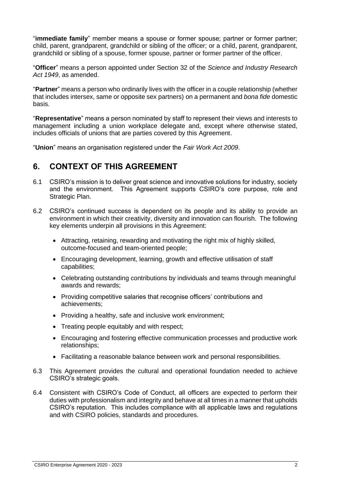"**immediate family**" member means a spouse or former spouse; partner or former partner; child, parent, grandparent, grandchild or sibling of the officer; or a child, parent, grandparent, grandchild or sibling of a spouse, former spouse, partner or former partner of the officer.

"**Officer**" means a person appointed under Section 32 of the *Science and Industry Research Act 1949*, as amended.

"**Partner**" means a person who ordinarily lives with the officer in a couple relationship (whether that includes intersex, same or opposite sex partners) on a permanent and *bona fide* domestic basis.

"**Representative**" means a person nominated by staff to represent their views and interests to management including a union workplace delegate and, except where otherwise stated, includes officials of unions that are parties covered by this Agreement.

"**Union**" means an organisation registered under the *Fair Work Act 2009*.

## <span id="page-7-0"></span>**6. CONTEXT OF THIS AGREEMENT**

- 6.1 CSIRO's mission is to deliver great science and innovative solutions for industry, society and the environment. This Agreement supports CSIRO's core purpose, role and Strategic Plan.
- 6.2 CSIRO's continued success is dependent on its people and its ability to provide an environment in which their creativity, diversity and innovation can flourish. The following key elements underpin all provisions in this Agreement:
	- Attracting, retaining, rewarding and motivating the right mix of highly skilled, outcome-focused and team-oriented people;
	- Encouraging development, learning, growth and effective utilisation of staff capabilities;
	- Celebrating outstanding contributions by individuals and teams through meaningful awards and rewards;
	- Providing competitive salaries that recognise officers' contributions and achievements;
	- Providing a healthy, safe and inclusive work environment;
	- Treating people equitably and with respect;
	- Encouraging and fostering effective communication processes and productive work relationships;
	- Facilitating a reasonable balance between work and personal responsibilities.
- 6.3 This Agreement provides the cultural and operational foundation needed to achieve CSIRO's strategic goals.
- 6.4 Consistent with CSIRO's Code of Conduct, all officers are expected to perform their duties with professionalism and integrity and behave at all times in a manner that upholds CSIRO's reputation. This includes compliance with all applicable laws and regulations and with CSIRO policies, standards and procedures.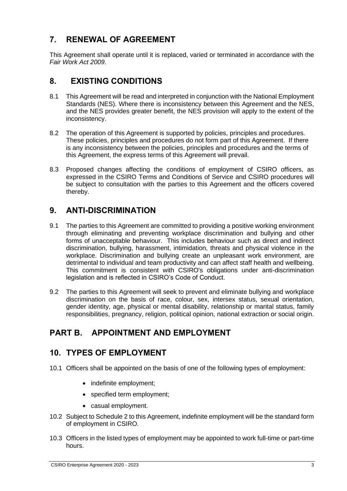# <span id="page-8-0"></span>**7. RENEWAL OF AGREEMENT**

This Agreement shall operate until it is replaced, varied or terminated in accordance with the *Fair Work Act 2009*.

# <span id="page-8-1"></span>**8. EXISTING CONDITIONS**

- 8.1 This Agreement will be read and interpreted in conjunction with the National Employment Standards (NES). Where there is inconsistency between this Agreement and the NES, and the NES provides greater benefit, the NES provision will apply to the extent of the inconsistency.
- 8.2 The operation of this Agreement is supported by policies, principles and procedures. These policies, principles and procedures do not form part of this Agreement. If there is any inconsistency between the policies, principles and procedures and the terms of this Agreement, the express terms of this Agreement will prevail.
- 8.3 Proposed changes affecting the conditions of employment of CSIRO officers, as expressed in the CSIRO Terms and Conditions of Service and CSIRO procedures will be subject to consultation with the parties to this Agreement and the officers covered thereby.

# <span id="page-8-2"></span>**9. ANTI-DISCRIMINATION**

- 9.1 The parties to this Agreement are committed to providing a positive working environment through eliminating and preventing workplace discrimination and bullying and other forms of unacceptable behaviour. This includes behaviour such as direct and indirect discrimination, bullying, harassment, intimidation, threats and physical violence in the workplace. Discrimination and bullying create an unpleasant work environment, are detrimental to individual and team productivity and can affect staff health and wellbeing. This commitment is consistent with CSIRO's obligations under anti-discrimination legislation and is reflected in CSIRO's Code of Conduct.
- 9.2 The parties to this Agreement will seek to prevent and eliminate bullying and workplace discrimination on the basis of race, colour, sex, intersex status, sexual orientation, gender identity, age, physical or mental disability, relationship or marital status, family responsibilities, pregnancy, religion, political opinion, national extraction or social origin.

# <span id="page-8-3"></span>**PART B. APPOINTMENT AND EMPLOYMENT**

# <span id="page-8-4"></span>**10. TYPES OF EMPLOYMENT**

- 10.1 Officers shall be appointed on the basis of one of the following types of employment:
	- indefinite employment;
	- specified term employment;
	- casual employment.
- 10.2 Subject to Schedule 2 to this Agreement, indefinite employment will be the standard form of employment in CSIRO.
- 10.3 Officers in the listed types of employment may be appointed to work full-time or part-time hours.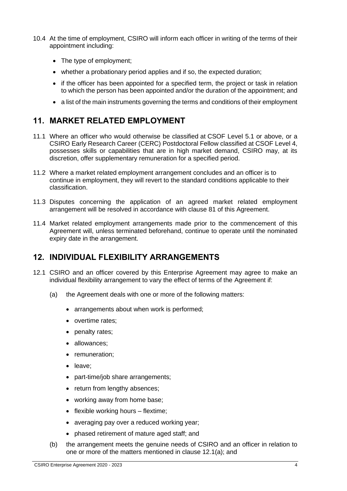- 10.4 At the time of employment, CSIRO will inform each officer in writing of the terms of their appointment including:
	- The type of employment;
	- whether a probationary period applies and if so, the expected duration;
	- if the officer has been appointed for a specified term, the project or task in relation to which the person has been appointed and/or the duration of the appointment; and
	- a list of the main instruments governing the terms and conditions of their employment

# <span id="page-9-0"></span>**11. MARKET RELATED EMPLOYMENT**

- 11.1 Where an officer who would otherwise be classified at CSOF Level 5.1 or above, or a CSIRO Early Research Career (CERC) Postdoctoral Fellow classified at CSOF Level 4, possesses skills or capabilities that are in high market demand, CSIRO may, at its discretion, offer supplementary remuneration for a specified period.
- 11.2 Where a market related employment arrangement concludes and an officer is to continue in employment, they will revert to the standard conditions applicable to their classification.
- 11.3 Disputes concerning the application of an agreed market related employment arrangement will be resolved in accordance with clause 81 of this Agreement.
- 11.4 Market related employment arrangements made prior to the commencement of this Agreement will, unless terminated beforehand, continue to operate until the nominated expiry date in the arrangement.

# <span id="page-9-1"></span>**12. INDIVIDUAL FLEXIBILITY ARRANGEMENTS**

- 12.1 CSIRO and an officer covered by this Enterprise Agreement may agree to make an individual flexibility arrangement to vary the effect of terms of the Agreement if:
	- (a) the Agreement deals with one or more of the following matters:
		- arrangements about when work is performed;
		- overtime rates;
		- penalty rates;
		- allowances;
		- remuneration;
		- leave;
		- part-time/job share arrangements;
		- return from lengthy absences:
		- working away from home base;
		- flexible working hours flextime;
		- averaging pay over a reduced working year;
		- phased retirement of mature aged staff; and
	- (b) the arrangement meets the genuine needs of CSIRO and an officer in relation to one or more of the matters mentioned in clause 12.1(a); and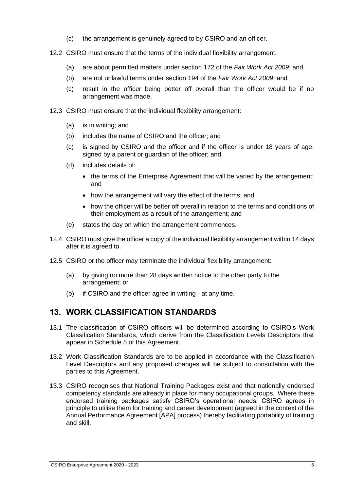- (c) the arrangement is genuinely agreed to by CSIRO and an officer.
- 12.2 CSIRO must ensure that the terms of the individual flexibility arrangement:
	- (a) are about permitted matters under section 172 of the *Fair Work Act 2009*; and
	- (b) are not unlawful terms under section 194 of the *Fair Work Act 2009*; and
	- (c) result in the officer being better off overall than the officer would be if no arrangement was made.
- 12.3 CSIRO must ensure that the individual flexibility arrangement:
	- (a) is in writing; and
	- (b) includes the name of CSIRO and the officer; and
	- (c) is signed by CSIRO and the officer and if the officer is under 18 years of age, signed by a parent or guardian of the officer; and
	- (d) includes details of:
		- the terms of the Enterprise Agreement that will be varied by the arrangement; and
		- how the arrangement will vary the effect of the terms; and
		- how the officer will be better off overall in relation to the terms and conditions of their employment as a result of the arrangement; and
	- (e) states the day on which the arrangement commences.
- 12.4 CSIRO must give the officer a copy of the individual flexibility arrangement within 14 days after it is agreed to.
- 12.5 CSIRO or the officer may terminate the individual flexibility arrangement:
	- (a) by giving no more than 28 days written notice to the other party to the arrangement; or
	- (b) if CSIRO and the officer agree in writing at any time.

# <span id="page-10-0"></span>**13. WORK CLASSIFICATION STANDARDS**

- 13.1 The classification of CSIRO officers will be determined according to CSIRO's Work Classification Standards, which derive from the Classification Levels Descriptors that appear in Schedule 5 of this Agreement.
- 13.2 Work Classification Standards are to be applied in accordance with the Classification Level Descriptors and any proposed changes will be subject to consultation with the parties to this Agreement.
- 13.3 CSIRO recognises that National Training Packages exist and that nationally endorsed competency standards are already in place for many occupational groups. Where these endorsed training packages satisfy CSIRO's operational needs, CSIRO agrees in principle to utilise them for training and career development (agreed in the context of the Annual Performance Agreement [APA] process) thereby facilitating portability of training and skill.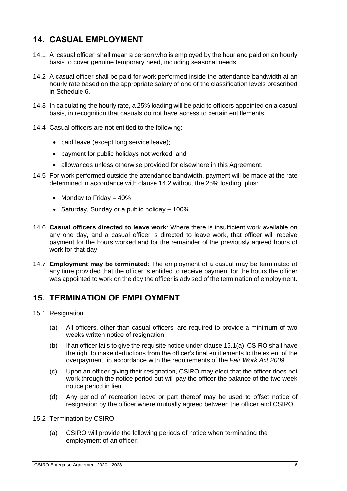# <span id="page-11-0"></span>**14. CASUAL EMPLOYMENT**

- 14.1 A 'casual officer' shall mean a person who is employed by the hour and paid on an hourly basis to cover genuine temporary need, including seasonal needs.
- 14.2 A casual officer shall be paid for work performed inside the attendance bandwidth at an hourly rate based on the appropriate salary of one of the classification levels prescribed in Schedule 6.
- 14.3 In calculating the hourly rate, a 25% loading will be paid to officers appointed on a casual basis, in recognition that casuals do not have access to certain entitlements.
- 14.4 Casual officers are not entitled to the following:
	- paid leave (except long service leave);
	- payment for public holidays not worked; and
	- allowances unless otherwise provided for elsewhere in this Agreement.
- 14.5 For work performed outside the attendance bandwidth, payment will be made at the rate determined in accordance with clause 14.2 without the 25% loading, plus:
	- Monday to Friday  $-40%$
	- Saturday, Sunday or a public holiday 100%
- 14.6 **Casual officers directed to leave work**: Where there is insufficient work available on any one day, and a casual officer is directed to leave work, that officer will receive payment for the hours worked and for the remainder of the previously agreed hours of work for that day.
- 14.7 **Employment may be terminated**: The employment of a casual may be terminated at any time provided that the officer is entitled to receive payment for the hours the officer was appointed to work on the day the officer is advised of the termination of employment.

# <span id="page-11-1"></span>**15. TERMINATION OF EMPLOYMENT**

- 15.1 Resignation
	- (a) All officers, other than casual officers, are required to provide a minimum of two weeks written notice of resignation.
	- (b) If an officer fails to give the requisite notice under clause 15.1(a), CSIRO shall have the right to make deductions from the officer's final entitlements to the extent of the overpayment, in accordance with the requirements of the *Fair Work Act 2009.*
	- (c) Upon an officer giving their resignation, CSIRO may elect that the officer does not work through the notice period but will pay the officer the balance of the two week notice period in lieu.
	- (d) Any period of recreation leave or part thereof may be used to offset notice of resignation by the officer where mutually agreed between the officer and CSIRO.

#### 15.2 Termination by CSIRO

(a) CSIRO will provide the following periods of notice when terminating the employment of an officer: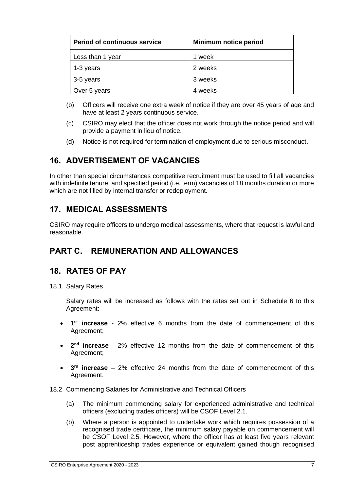| <b>Period of continuous service</b> | Minimum notice period |  |
|-------------------------------------|-----------------------|--|
| Less than 1 year                    | 1 week                |  |
| 1-3 years                           | 2 weeks               |  |
| 3-5 years                           | 3 weeks               |  |
| Over 5 years                        | 4 weeks               |  |

- (b) Officers will receive one extra week of notice if they are over 45 years of age and have at least 2 years continuous service.
- (c) CSIRO may elect that the officer does not work through the notice period and will provide a payment in lieu of notice.
- (d) Notice is not required for termination of employment due to serious misconduct.

# <span id="page-12-0"></span>**16. ADVERTISEMENT OF VACANCIES**

In other than special circumstances competitive recruitment must be used to fill all vacancies with indefinite tenure, and specified period (i.e. term) vacancies of 18 months duration or more which are not filled by internal transfer or redeployment.

# <span id="page-12-1"></span>**17. MEDICAL ASSESSMENTS**

CSIRO may require officers to undergo medical assessments, where that request is lawful and reasonable.

# <span id="page-12-2"></span>**PART C. REMUNERATION AND ALLOWANCES**

## <span id="page-12-3"></span>**18. RATES OF PAY**

18.1 Salary Rates

Salary rates will be increased as follows with the rates set out in Schedule 6 to this Agreement:

- **1 st increase** 2% effective 6 months from the date of commencement of this Agreement;
- 2<sup>nd</sup> **increase** 2% effective 12 months from the date of commencement of this Agreement;
- **3 rd increase** 2% effective 24 months from the date of commencement of this Agreement.
- 18.2 Commencing Salaries for Administrative and Technical Officers
	- (a) The minimum commencing salary for experienced administrative and technical officers (excluding trades officers) will be CSOF Level 2.1.
	- (b) Where a person is appointed to undertake work which requires possession of a recognised trade certificate, the minimum salary payable on commencement will be CSOF Level 2.5. However, where the officer has at least five years relevant post apprenticeship trades experience or equivalent gained though recognised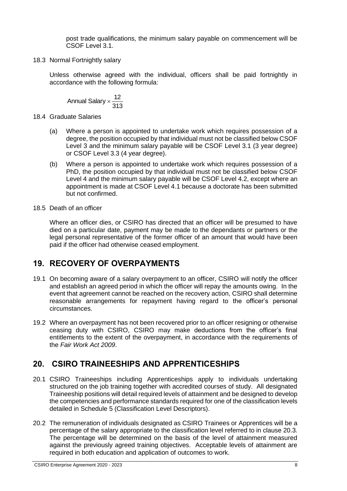post trade qualifications, the minimum salary payable on commencement will be CSOF Level 3.1.

18.3 Normal Fortnightly salary

Unless otherwise agreed with the individual, officers shall be paid fortnightly in accordance with the following formula:

313 Annual Salary  $\times \frac{12}{346}$ 

- 18.4 Graduate Salaries
	- (a) Where a person is appointed to undertake work which requires possession of a degree, the position occupied by that individual must not be classified below CSOF Level 3 and the minimum salary payable will be CSOF Level 3.1 (3 year degree) or CSOF Level 3.3 (4 year degree).
	- (b) Where a person is appointed to undertake work which requires possession of a PhD, the position occupied by that individual must not be classified below CSOF Level 4 and the minimum salary payable will be CSOF Level 4.2, except where an appointment is made at CSOF Level 4.1 because a doctorate has been submitted but not confirmed.
- 18.5 Death of an officer

Where an officer dies, or CSIRO has directed that an officer will be presumed to have died on a particular date, payment may be made to the dependants or partners or the legal personal representative of the former officer of an amount that would have been paid if the officer had otherwise ceased employment.

# <span id="page-13-0"></span>**19. RECOVERY OF OVERPAYMENTS**

- 19.1 On becoming aware of a salary overpayment to an officer, CSIRO will notify the officer and establish an agreed period in which the officer will repay the amounts owing. In the event that agreement cannot be reached on the recovery action, CSIRO shall determine reasonable arrangements for repayment having regard to the officer's personal circumstances.
- 19.2 Where an overpayment has not been recovered prior to an officer resigning or otherwise ceasing duty with CSIRO, CSIRO may make deductions from the officer's final entitlements to the extent of the overpayment, in accordance with the requirements of the *Fair Work Act 2009*.

# <span id="page-13-1"></span>**20. CSIRO TRAINEESHIPS AND APPRENTICESHIPS**

- 20.1 CSIRO Traineeships including Apprenticeships apply to individuals undertaking structured on the job training together with accredited courses of study. All designated Traineeship positions will detail required levels of attainment and be designed to develop the competencies and performance standards required for one of the classification levels detailed in Schedule 5 (Classification Level Descriptors).
- 20.2 The remuneration of individuals designated as CSIRO Trainees or Apprentices will be a percentage of the salary appropriate to the classification level referred to in clause 20.3. The percentage will be determined on the basis of the level of attainment measured against the previously agreed training objectives. Acceptable levels of attainment are required in both education and application of outcomes to work.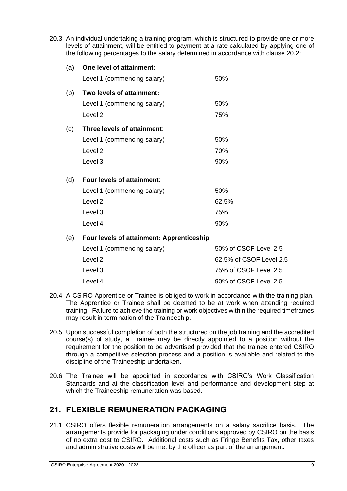20.3 An individual undertaking a training program, which is structured to provide one or more levels of attainment, will be entitled to payment at a rate calculated by applying one of the following percentages to the salary determined in accordance with clause 20.2:

| (a) | One level of attainment:                   |                       |
|-----|--------------------------------------------|-----------------------|
|     | Level 1 (commencing salary)                | 50%                   |
| (b) | Two levels of attainment:                  |                       |
|     | Level 1 (commencing salary)                | 50%                   |
|     | Level <sub>2</sub>                         | 75%                   |
| (c) | Three levels of attainment:                |                       |
|     | Level 1 (commencing salary)                | 50%                   |
|     | Level <sub>2</sub>                         | 70%                   |
|     | Level 3                                    | 90%                   |
| (d) | Four levels of attainment:                 |                       |
|     | Level 1 (commencing salary)                | 50%                   |
|     | Level <sub>2</sub>                         | 62.5%                 |
|     | Level 3                                    | 75%                   |
|     | Level 4                                    | 90%                   |
| (e) | Four levels of attainment: Apprenticeship: |                       |
|     | Level 1 (commencing salary)                | 50% of CSOF Level 2.5 |
|     | Level 2                                    | 62.5% of CSOF Level 2 |

| <u>JUMUH UUUT LUVULAJ</u> |
|---------------------------|
| 62.5% of CSOF Level 2.5   |
| 75% of CSOF Level 2.5     |
| 90% of CSOF Level 2.5     |
|                           |

- 20.4 A CSIRO Apprentice or Trainee is obliged to work in accordance with the training plan. The Apprentice or Trainee shall be deemed to be at work when attending required training. Failure to achieve the training or work objectives within the required timeframes may result in termination of the Traineeship.
- 20.5 Upon successful completion of both the structured on the job training and the accredited course(s) of study, a Trainee may be directly appointed to a position without the requirement for the position to be advertised provided that the trainee entered CSIRO through a competitive selection process and a position is available and related to the discipline of the Traineeship undertaken.
- 20.6 The Trainee will be appointed in accordance with CSIRO's Work Classification Standards and at the classification level and performance and development step at which the Traineeship remuneration was based.

# <span id="page-14-0"></span>**21. FLEXIBLE REMUNERATION PACKAGING**

21.1 CSIRO offers flexible remuneration arrangements on a salary sacrifice basis. The arrangements provide for packaging under conditions approved by CSIRO on the basis of no extra cost to CSIRO. Additional costs such as Fringe Benefits Tax, other taxes and administrative costs will be met by the officer as part of the arrangement.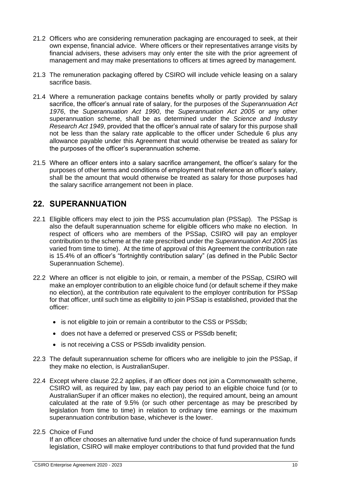- 21.2 Officers who are considering remuneration packaging are encouraged to seek, at their own expense, financial advice. Where officers or their representatives arrange visits by financial advisers, these advisers may only enter the site with the prior agreement of management and may make presentations to officers at times agreed by management.
- 21.3 The remuneration packaging offered by CSIRO will include vehicle leasing on a salary sacrifice basis.
- 21.4 Where a remuneration package contains benefits wholly or partly provided by salary sacrifice, the officer's annual rate of salary, for the purposes of the *Superannuation Act 1976*, the *Superannuation Act 1990*, the *Superannuation Act 2005* or any other superannuation scheme, shall be as determined under the *Science and Industry Research Act 1949*, provided that the officer's annual rate of salary for this purpose shall not be less than the salary rate applicable to the officer under Schedule 6 plus any allowance payable under this Agreement that would otherwise be treated as salary for the purposes of the officer's superannuation scheme.
- 21.5 Where an officer enters into a salary sacrifice arrangement, the officer's salary for the purposes of other terms and conditions of employment that reference an officer's salary, shall be the amount that would otherwise be treated as salary for those purposes had the salary sacrifice arrangement not been in place.

# <span id="page-15-0"></span>**22. SUPERANNUATION**

- 22.1 Eligible officers may elect to join the PSS accumulation plan (PSSap). The PSSap is also the default superannuation scheme for eligible officers who make no election. In respect of officers who are members of the PSSap, CSIRO will pay an employer contribution to the scheme at the rate prescribed under the *Superannuation Act 2005* (as varied from time to time). At the time of approval of this Agreement the contribution rate is 15.4% of an officer's "fortnightly contribution salary" (as defined in the Public Sector Superannuation Scheme).
- 22.2 Where an officer is not eligible to join, or remain, a member of the PSSap, CSIRO will make an employer contribution to an eligible choice fund (or default scheme if they make no election), at the contribution rate equivalent to the employer contribution for PSSap for that officer, until such time as eligibility to join PSSap is established, provided that the officer:
	- is not eligible to join or remain a contributor to the CSS or PSSdb;
	- does not have a deferred or preserved CSS or PSSdb benefit;
	- is not receiving a CSS or PSSdb invalidity pension.
- 22.3 The default superannuation scheme for officers who are ineligible to join the PSSap, if they make no election, is AustralianSuper.
- 22.4 Except where clause 22.2 applies, if an officer does not join a Commonwealth scheme, CSIRO will, as required by law, pay each pay period to an eligible choice fund (or to AustralianSuper if an officer makes no election), the required amount, being an amount calculated at the rate of 9.5% (or such other percentage as may be prescribed by legislation from time to time) in relation to ordinary time earnings or the maximum superannuation contribution base, whichever is the lower.

#### 22.5 Choice of Fund

If an officer chooses an alternative fund under the choice of fund superannuation funds legislation, CSIRO will make employer contributions to that fund provided that the fund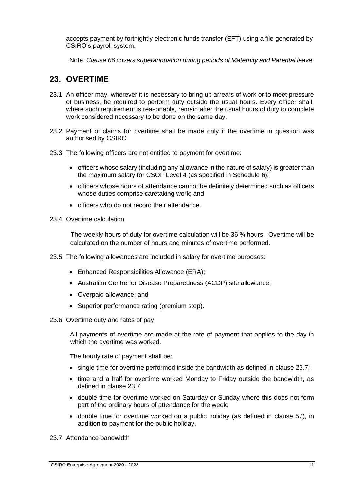accepts payment by fortnightly electronic funds transfer (EFT) using a file generated by CSIRO's payroll system.

Note*: Clause 66 covers superannuation during periods of Maternity and Parental leave.*

# <span id="page-16-0"></span>**23. OVERTIME**

- 23.1 An officer may, wherever it is necessary to bring up arrears of work or to meet pressure of business, be required to perform duty outside the usual hours. Every officer shall, where such requirement is reasonable, remain after the usual hours of duty to complete work considered necessary to be done on the same day.
- 23.2 Payment of claims for overtime shall be made only if the overtime in question was authorised by CSIRO.
- 23.3 The following officers are not entitled to payment for overtime:
	- officers whose salary (including any allowance in the nature of salary) is greater than the maximum salary for CSOF Level 4 (as specified in Schedule 6);
	- officers whose hours of attendance cannot be definitely determined such as officers whose duties comprise caretaking work; and
	- officers who do not record their attendance.
- 23.4 Overtime calculation

The weekly hours of duty for overtime calculation will be  $36\frac{3}{4}$  hours. Overtime will be calculated on the number of hours and minutes of overtime performed.

- 23.5 The following allowances are included in salary for overtime purposes:
	- Enhanced Responsibilities Allowance (ERA);
	- Australian Centre for Disease Preparedness (ACDP) site allowance;
	- Overpaid allowance; and
	- Superior performance rating (premium step).
- 23.6 Overtime duty and rates of pay

All payments of overtime are made at the rate of payment that applies to the day in which the overtime was worked.

The hourly rate of payment shall be:

- single time for overtime performed inside the bandwidth as defined in clause 23.7;
- time and a half for overtime worked Monday to Friday outside the bandwidth, as defined in clause 23.7;
- double time for overtime worked on Saturday or Sunday where this does not form part of the ordinary hours of attendance for the week;
- double time for overtime worked on a public holiday (as defined in clause 57), in addition to payment for the public holiday.

23.7 Attendance bandwidth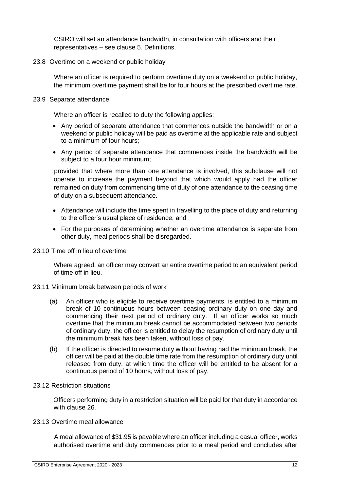CSIRO will set an attendance bandwidth, in consultation with officers and their representatives – see clause 5. Definitions.

23.8 Overtime on a weekend or public holiday

Where an officer is required to perform overtime duty on a weekend or public holiday, the minimum overtime payment shall be for four hours at the prescribed overtime rate.

23.9 Separate attendance

Where an officer is recalled to duty the following applies:

- Any period of separate attendance that commences outside the bandwidth or on a weekend or public holiday will be paid as overtime at the applicable rate and subject to a minimum of four hours;
- Any period of separate attendance that commences inside the bandwidth will be subject to a four hour minimum;

provided that where more than one attendance is involved, this subclause will not operate to increase the payment beyond that which would apply had the officer remained on duty from commencing time of duty of one attendance to the ceasing time of duty on a subsequent attendance.

- Attendance will include the time spent in travelling to the place of duty and returning to the officer's usual place of residence; and
- For the purposes of determining whether an overtime attendance is separate from other duty, meal periods shall be disregarded.
- 23.10 Time off in lieu of overtime

Where agreed, an officer may convert an entire overtime period to an equivalent period of time off in lieu.

- 23.11 Minimum break between periods of work
	- (a) An officer who is eligible to receive overtime payments, is entitled to a minimum break of 10 continuous hours between ceasing ordinary duty on one day and commencing their next period of ordinary duty. If an officer works so much overtime that the minimum break cannot be accommodated between two periods of ordinary duty, the officer is entitled to delay the resumption of ordinary duty until the minimum break has been taken, without loss of pay.
	- (b) If the officer is directed to resume duty without having had the minimum break, the officer will be paid at the double time rate from the resumption of ordinary duty until released from duty, at which time the officer will be entitled to be absent for a continuous period of 10 hours, without loss of pay.

#### 23.12 Restriction situations

Officers performing duty in a restriction situation will be paid for that duty in accordance with clause 26.

23.13 Overtime meal allowance

A meal allowance of \$31.95 is payable where an officer including a casual officer, works authorised overtime and duty commences prior to a meal period and concludes after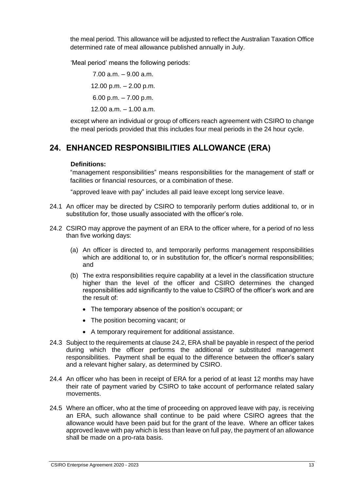the meal period. This allowance will be adjusted to reflect the Australian Taxation Office determined rate of meal allowance published annually in July.

'Meal period' means the following periods:

7.00 a.m. – 9.00 a.m. 12.00 p.m. – 2.00 p.m. 6.00 p.m. – 7.00 p.m. 12.00 a.m. – 1.00 a.m.

except where an individual or group of officers reach agreement with CSIRO to change the meal periods provided that this includes four meal periods in the 24 hour cycle.

# <span id="page-18-0"></span>**24. ENHANCED RESPONSIBILITIES ALLOWANCE (ERA)**

## **Definitions:**

"management responsibilities" means responsibilities for the management of staff or facilities or financial resources, or a combination of these.

"approved leave with pay" includes all paid leave except long service leave.

- 24.1 An officer may be directed by CSIRO to temporarily perform duties additional to, or in substitution for, those usually associated with the officer's role.
- 24.2 CSIRO may approve the payment of an ERA to the officer where, for a period of no less than five working days:
	- (a) An officer is directed to, and temporarily performs management responsibilities which are additional to, or in substitution for, the officer's normal responsibilities; and
	- (b) The extra responsibilities require capability at a level in the classification structure higher than the level of the officer and CSIRO determines the changed responsibilities add significantly to the value to CSIRO of the officer's work and are the result of:
		- The temporary absence of the position's occupant; or
		- The position becoming vacant; or
		- A temporary requirement for additional assistance.
- 24.3 Subject to the requirements at clause 24.2, ERA shall be payable in respect of the period during which the officer performs the additional or substituted management responsibilities. Payment shall be equal to the difference between the officer's salary and a relevant higher salary, as determined by CSIRO.
- 24.4 An officer who has been in receipt of ERA for a period of at least 12 months may have their rate of payment varied by CSIRO to take account of performance related salary movements.
- 24.5 Where an officer, who at the time of proceeding on approved leave with pay, is receiving an ERA, such allowance shall continue to be paid where CSIRO agrees that the allowance would have been paid but for the grant of the leave. Where an officer takes approved leave with pay which is less than leave on full pay, the payment of an allowance shall be made on a pro-rata basis.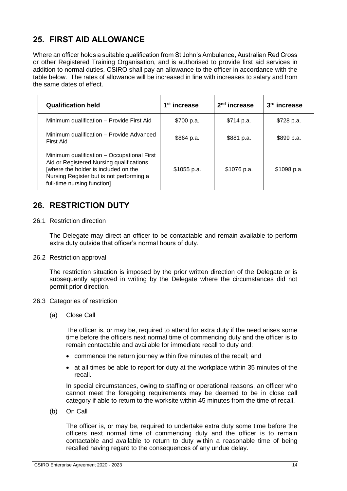# <span id="page-19-0"></span>**25. FIRST AID ALLOWANCE**

Where an officer holds a suitable qualification from St John's Ambulance, Australian Red Cross or other Registered Training Organisation, and is authorised to provide first aid services in addition to normal duties, CSIRO shall pay an allowance to the officer in accordance with the table below. The rates of allowance will be increased in line with increases to salary and from the same dates of effect.

| <b>Qualification held</b>                                                                                                                                                                                 | 1 <sup>st</sup> increase | $2nd$ increase | 3 <sup>rd</sup> increase |
|-----------------------------------------------------------------------------------------------------------------------------------------------------------------------------------------------------------|--------------------------|----------------|--------------------------|
| Minimum qualification - Provide First Aid                                                                                                                                                                 | \$700 p.a.               | \$714 p.a.     | \$728 p.a.               |
| Minimum qualification - Provide Advanced<br>First Aid                                                                                                                                                     | \$864 p.a.               | \$881 p.a.     | \$899 p.a.               |
| Minimum qualification - Occupational First<br>Aid or Registered Nursing qualifications<br>[where the holder is included on the<br>Nursing Register but is not performing a<br>full-time nursing function] | \$1055 p.a.              | \$1076 p.a.    | \$1098 p.a.              |

# <span id="page-19-1"></span>**26. RESTRICTION DUTY**

26.1 Restriction direction

The Delegate may direct an officer to be contactable and remain available to perform extra duty outside that officer's normal hours of duty.

26.2 Restriction approval

The restriction situation is imposed by the prior written direction of the Delegate or is subsequently approved in writing by the Delegate where the circumstances did not permit prior direction.

#### 26.3 Categories of restriction

(a) Close Call

The officer is, or may be, required to attend for extra duty if the need arises some time before the officers next normal time of commencing duty and the officer is to remain contactable and available for immediate recall to duty and:

- commence the return journey within five minutes of the recall; and
- at all times be able to report for duty at the workplace within 35 minutes of the recall.

In special circumstances, owing to staffing or operational reasons, an officer who cannot meet the foregoing requirements may be deemed to be in close call category if able to return to the worksite within 45 minutes from the time of recall.

(b) On Call

The officer is, or may be, required to undertake extra duty some time before the officers next normal time of commencing duty and the officer is to remain contactable and available to return to duty within a reasonable time of being recalled having regard to the consequences of any undue delay.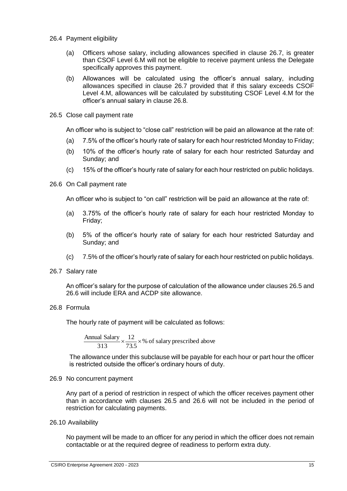- 26.4 Payment eligibility
	- (a) Officers whose salary, including allowances specified in clause 26.7, is greater than CSOF Level 6.M will not be eligible to receive payment unless the Delegate specifically approves this payment.
	- (b) Allowances will be calculated using the officer's annual salary, including allowances specified in clause 26.7 provided that if this salary exceeds CSOF Level 4.M, allowances will be calculated by substituting CSOF Level 4.M for the officer's annual salary in clause 26.8.
- 26.5 Close call payment rate

An officer who is subject to "close call" restriction will be paid an allowance at the rate of:

- (a) 7.5% of the officer's hourly rate of salary for each hour restricted Monday to Friday;
- (b) 10% of the officer's hourly rate of salary for each hour restricted Saturday and Sunday; and
- (c) 15% of the officer's hourly rate of salary for each hour restricted on public holidays.
- 26.6 On Call payment rate

An officer who is subject to "on call" restriction will be paid an allowance at the rate of:

- (a) 3.75% of the officer's hourly rate of salary for each hour restricted Monday to Friday;
- (b) 5% of the officer's hourly rate of salary for each hour restricted Saturday and Sunday; and
- (c) 7.5% of the officer's hourly rate of salary for each hour restricted on public holidays.
- 26.7 Salary rate

An officer's salary for the purpose of calculation of the allowance under clauses 26.5 and 26.6 will include ERA and ACDP site allowance.

26.8 Formula

The hourly rate of payment will be calculated as follows:

$$
\frac{\text{Annual salary}}{313} \times \frac{12}{73.5} \times \%
$$
 of salary prescribed above

The allowance under this subclause will be payable for each hour or part hour the officer is restricted outside the officer's ordinary hours of duty.

26.9 No concurrent payment

Any part of a period of restriction in respect of which the officer receives payment other than in accordance with clauses 26.5 and 26.6 will not be included in the period of restriction for calculating payments.

26.10 Availability

No payment will be made to an officer for any period in which the officer does not remain contactable or at the required degree of readiness to perform extra duty.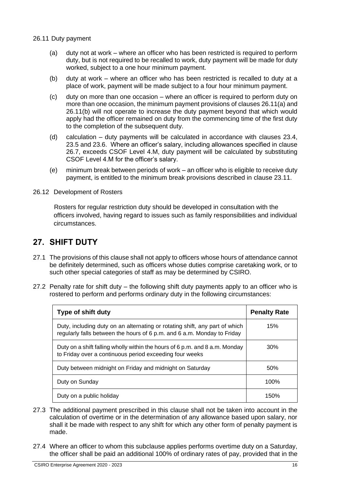26.11 Duty payment

- (a) duty not at work where an officer who has been restricted is required to perform duty, but is not required to be recalled to work, duty payment will be made for duty worked, subject to a one hour minimum payment.
- (b) duty at work where an officer who has been restricted is recalled to duty at a place of work, payment will be made subject to a four hour minimum payment.
- (c) duty on more than one occasion where an officer is required to perform duty on more than one occasion, the minimum payment provisions of clauses 26.11(a) and 26.11(b) will not operate to increase the duty payment beyond that which would apply had the officer remained on duty from the commencing time of the first duty to the completion of the subsequent duty.
- (d) calculation duty payments will be calculated in accordance with clauses 23.4, 23.5 and 23.6. Where an officer's salary, including allowances specified in clause 26.7, exceeds CSOF Level 4.M, duty payment will be calculated by substituting CSOF Level 4.M for the officer's salary.
- (e) minimum break between periods of work an officer who is eligible to receive duty payment, is entitled to the minimum break provisions described in clause 23.11.
- 26.12 Development of Rosters

Rosters for regular restriction duty should be developed in consultation with the officers involved, having regard to issues such as family responsibilities and individual circumstances.

## <span id="page-21-0"></span>**27. SHIFT DUTY**

- 27.1 The provisions of this clause shall not apply to officers whose hours of attendance cannot be definitely determined, such as officers whose duties comprise caretaking work, or to such other special categories of staff as may be determined by CSIRO.
- 27.2 Penalty rate for shift duty the following shift duty payments apply to an officer who is rostered to perform and performs ordinary duty in the following circumstances:

| Type of shift duty                                                                                                                                     | <b>Penalty Rate</b> |
|--------------------------------------------------------------------------------------------------------------------------------------------------------|---------------------|
| Duty, including duty on an alternating or rotating shift, any part of which<br>regularly falls between the hours of 6 p.m. and 6 a.m. Monday to Friday | 15%                 |
| Duty on a shift falling wholly within the hours of 6 p.m. and 8 a.m. Monday<br>to Friday over a continuous period exceeding four weeks                 | 30%                 |
| Duty between midnight on Friday and midnight on Saturday                                                                                               | 50%                 |
| Duty on Sunday                                                                                                                                         | 100%                |
| Duty on a public holiday                                                                                                                               | 150%                |

- 27.3 The additional payment prescribed in this clause shall not be taken into account in the calculation of overtime or in the determination of any allowance based upon salary, nor shall it be made with respect to any shift for which any other form of penalty payment is made.
- 27.4 Where an officer to whom this subclause applies performs overtime duty on a Saturday, the officer shall be paid an additional 100% of ordinary rates of pay, provided that in the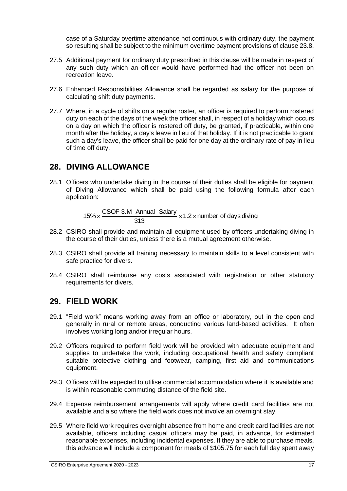case of a Saturday overtime attendance not continuous with ordinary duty, the payment so resulting shall be subject to the minimum overtime payment provisions of clause 23.8.

- 27.5 Additional payment for ordinary duty prescribed in this clause will be made in respect of any such duty which an officer would have performed had the officer not been on recreation leave.
- 27.6 Enhanced Responsibilities Allowance shall be regarded as salary for the purpose of calculating shift duty payments.
- 27.7 Where, in a cycle of shifts on a regular roster, an officer is required to perform rostered duty on each of the days of the week the officer shall, in respect of a holiday which occurs on a day on which the officer is rostered off duty, be granted, if practicable, within one month after the holiday, a day's leave in lieu of that holiday. If it is not practicable to grant such a day's leave, the officer shall be paid for one day at the ordinary rate of pay in lieu of time off duty.

## <span id="page-22-0"></span>**28. DIVING ALLOWANCE**

28.1 Officers who undertake diving in the course of their duties shall be eligible for payment of Diving Allowance which shall be paid using the following formula after each application:

> 15%  $\times$  CSOF 3.M Annual Salary  $\times$  1.2  $\times$  number of days diving 313

- 28.2 CSIRO shall provide and maintain all equipment used by officers undertaking diving in the course of their duties, unless there is a mutual agreement otherwise.
- 28.3 CSIRO shall provide all training necessary to maintain skills to a level consistent with safe practice for divers.
- 28.4 CSIRO shall reimburse any costs associated with registration or other statutory requirements for divers.

## <span id="page-22-1"></span>**29. FIELD WORK**

- 29.1 "Field work" means working away from an office or laboratory, out in the open and generally in rural or remote areas, conducting various land-based activities. It often involves working long and/or irregular hours.
- 29.2 Officers required to perform field work will be provided with adequate equipment and supplies to undertake the work, including occupational health and safety compliant suitable protective clothing and footwear, camping, first aid and communications equipment.
- 29.3 Officers will be expected to utilise commercial accommodation where it is available and is within reasonable commuting distance of the field site.
- 29.4 Expense reimbursement arrangements will apply where credit card facilities are not available and also where the field work does not involve an overnight stay.
- 29.5 Where field work requires overnight absence from home and credit card facilities are not available, officers including casual officers may be paid, in advance, for estimated reasonable expenses, including incidental expenses. If they are able to purchase meals, this advance will include a component for meals of \$105.75 for each full day spent away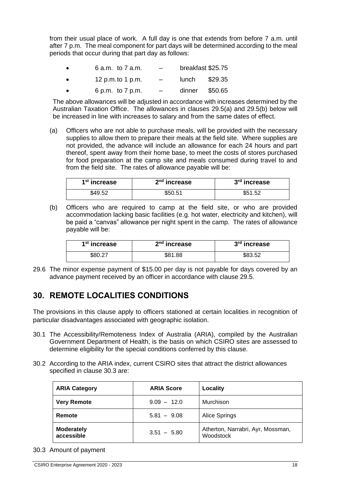from their usual place of work. A full day is one that extends from before 7 a.m. until after 7 p.m. The meal component for part days will be determined according to the meal periods that occur during that part day as follows:

| 6 a.m. to 7 a.m. | -                        |       | breakfast \$25.75 |
|------------------|--------------------------|-------|-------------------|
| 12 p.m.to 1 p.m. | $\overline{\phantom{0}}$ | lunch | \$29.35           |

• 6 p.m. to 7 p.m. – dinner \$50.65

The above allowances will be adjusted in accordance with increases determined by the Australian Taxation Office. The allowances in clauses 29.5(a) and 29.5(b) below will be increased in line with increases to salary and from the same dates of effect.

(a) Officers who are not able to purchase meals, will be provided with the necessary supplies to allow them to prepare their meals at the field site. Where supplies are not provided, the advance will include an allowance for each 24 hours and part thereof, spent away from their home base, to meet the costs of stores purchased for food preparation at the camp site and meals consumed during travel to and from the field site. The rates of allowance payable will be:

| 1 <sup>st</sup> increase | $2nd$ increase | 3rd increase |
|--------------------------|----------------|--------------|
| \$49.52                  | \$50.51        | \$51.52      |

(b) Officers who are required to camp at the field site, or who are provided accommodation lacking basic facilities (e.g. hot water, electricity and kitchen), will be paid a "canvas" allowance per night spent in the camp. The rates of allowance payable will be:

| 1 <sup>st</sup> increase | $2nd$ increase | 3rd increase |
|--------------------------|----------------|--------------|
| \$80.27                  | \$81.88        | \$83.52      |

29.6 The minor expense payment of \$15.00 per day is not payable for days covered by an advance payment received by an officer in accordance with clause 29.5.

# <span id="page-23-0"></span>**30. REMOTE LOCALITIES CONDITIONS**

The provisions in this clause apply to officers stationed at certain localities in recognition of particular disadvantages associated with geographic isolation.

- 30.1 The Accessibility/Remoteness Index of Australia (ARIA), compiled by the Australian Government Department of Health, is the basis on which CSIRO sites are assessed to determine eligibility for the special conditions conferred by this clause.
- 30.2 According to the ARIA index, current CSIRO sites that attract the district allowances specified in clause 30.3 are:

| <b>ARIA Category</b>            | <b>ARIA Score</b> | Locality                                       |
|---------------------------------|-------------------|------------------------------------------------|
| <b>Very Remote</b>              | $9.09 - 12.0$     | Murchison                                      |
| Remote                          | $5.81 - 9.08$     | Alice Springs                                  |
| <b>Moderately</b><br>accessible | $3.51 - 5.80$     | Atherton, Narrabri, Ayr, Mossman,<br>Woodstock |

30.3 Amount of payment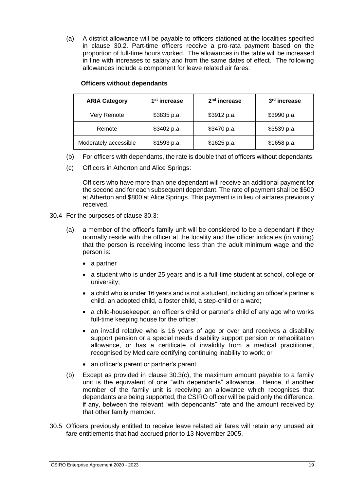(a) A district allowance will be payable to officers stationed at the localities specified in clause 30.2. Part-time officers receive a pro-rata payment based on the proportion of full-time hours worked. The allowances in the table will be increased in line with increases to salary and from the same dates of effect. The following allowances include a component for leave related air fares:

| <b>ARIA Category</b>  | 1 <sup>st</sup> increase   | $2nd$ increase | 3 <sup>rd</sup> increase |
|-----------------------|----------------------------|----------------|--------------------------|
| Very Remote           | \$3835 p.a.                | \$3912 p.a.    | \$3990 p.a.              |
| Remote                | \$3402 p.a.<br>\$3470 p.a. |                | \$3539 p.a.              |
| Moderately accessible | \$1593 p.a.                | \$1625 p.a.    | \$1658 p.a.              |

#### **Officers without dependants**

- (b) For officers with dependants, the rate is double that of officers without dependants.
- (c) Officers in Atherton and Alice Springs:

Officers who have more than one dependant will receive an additional payment for the second and for each subsequent dependant. The rate of payment shall be \$500 at Atherton and \$800 at Alice Springs. This payment is in lieu of airfares previously received.

- 30.4 For the purposes of clause 30.3:
	- (a) a member of the officer's family unit will be considered to be a dependant if they normally reside with the officer at the locality and the officer indicates (in writing) that the person is receiving income less than the adult minimum wage and the person is:
		- a partner
		- a student who is under 25 years and is a full-time student at school, college or university;
		- a child who is under 16 years and is not a student, including an officer's partner's child, an adopted child, a foster child, a step-child or a ward;
		- a child-housekeeper: an officer's child or partner's child of any age who works full-time keeping house for the officer;
		- an invalid relative who is 16 years of age or over and receives a disability support pension or a special needs disability support pension or rehabilitation allowance, or has a certificate of invalidity from a medical practitioner, recognised by Medicare certifying continuing inability to work; or
		- an officer's parent or partner's parent.
	- (b) Except as provided in clause 30.3(c), the maximum amount payable to a family unit is the equivalent of one "with dependants" allowance. Hence, if another member of the family unit is receiving an allowance which recognises that dependants are being supported, the CSIRO officer will be paid only the difference, if any, between the relevant "with dependants" rate and the amount received by that other family member.
- 30.5 Officers previously entitled to receive leave related air fares will retain any unused air fare entitlements that had accrued prior to 13 November 2005.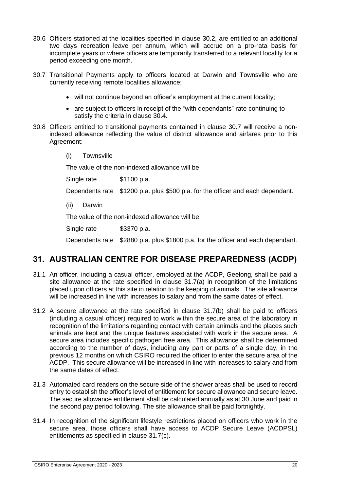- 30.6 Officers stationed at the localities specified in clause 30.2, are entitled to an additional two days recreation leave per annum, which will accrue on a pro-rata basis for incomplete years or where officers are temporarily transferred to a relevant locality for a period exceeding one month.
- 30.7 Transitional Payments apply to officers located at Darwin and Townsville who are currently receiving remote localities allowance;
	- will not continue beyond an officer's employment at the current locality;
	- are subject to officers in receipt of the "with dependants" rate continuing to satisfy the criteria in clause 30.4.
- 30.8 Officers entitled to transitional payments contained in clause 30.7 will receive a nonindexed allowance reflecting the value of district allowance and airfares prior to this Agreement:
	- (i) Townsville

The value of the non-indexed allowance will be:

Single rate \$1100 p.a. Dependents rate \$1200 p.a. plus \$500 p.a. for the officer and each dependant. (ii) Darwin The value of the non-indexed allowance will be:

Single rate \$3370 p.a.

Dependents rate \$2880 p.a. plus \$1800 p.a. for the officer and each dependant.

# <span id="page-25-0"></span>**31. AUSTRALIAN CENTRE FOR DISEASE PREPAREDNESS (ACDP)**

- 31.1 An officer, including a casual officer, employed at the ACDP, Geelong, shall be paid a site allowance at the rate specified in clause 31.7(a) in recognition of the limitations placed upon officers at this site in relation to the keeping of animals. The site allowance will be increased in line with increases to salary and from the same dates of effect.
- 31.2 A secure allowance at the rate specified in clause 31.7(b) shall be paid to officers (including a casual officer) required to work within the secure area of the laboratory in recognition of the limitations regarding contact with certain animals and the places such animals are kept and the unique features associated with work in the secure area. A secure area includes specific pathogen free area. This allowance shall be determined according to the number of days, including any part or parts of a single day, in the previous 12 months on which CSIRO required the officer to enter the secure area of the ACDP. This secure allowance will be increased in line with increases to salary and from the same dates of effect.
- 31.3 Automated card readers on the secure side of the shower areas shall be used to record entry to establish the officer's level of entitlement for secure allowance and secure leave. The secure allowance entitlement shall be calculated annually as at 30 June and paid in the second pay period following. The site allowance shall be paid fortnightly.
- 31.4 In recognition of the significant lifestyle restrictions placed on officers who work in the secure area, those officers shall have access to ACDP Secure Leave (ACDPSL) entitlements as specified in clause 31.7(c).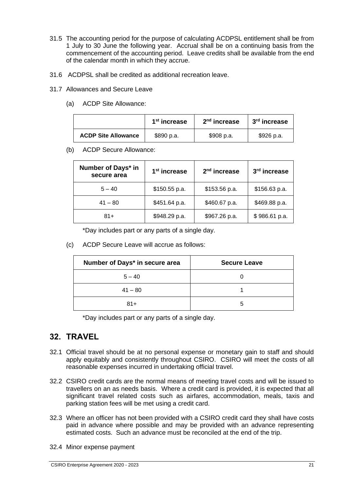- 31.5 The accounting period for the purpose of calculating ACDPSL entitlement shall be from 1 July to 30 June the following year. Accrual shall be on a continuing basis from the commencement of the accounting period. Leave credits shall be available from the end of the calendar month in which they accrue.
- 31.6 ACDPSL shall be credited as additional recreation leave.
- 31.7 Allowances and Secure Leave
	- (a) ACDP Site Allowance:

|                            | 1 <sup>st</sup> increase | $2nd$ increase | 3 <sup>rd</sup> increase |
|----------------------------|--------------------------|----------------|--------------------------|
| <b>ACDP Site Allowance</b> | \$890 p.a.               | \$908 p.a.     | \$926 p.a.               |

(b) ACDP Secure Allowance:

| Number of Days* in<br>secure area | 1 <sup>st</sup> increase | 2 <sup>nd</sup> increase | 3rd increase  |
|-----------------------------------|--------------------------|--------------------------|---------------|
| $5 - 40$                          | $$150.55$ p.a.           | \$153.56 p.a.            | \$156.63 p.a. |
| $41 - 80$                         | \$451.64 p.a.            | \$460.67 p.a.            | \$469.88 p.a. |
| $81 +$                            | \$948.29 p.a.            | \$967.26 p.a.            | \$986.61 p.a. |

\*Day includes part or any parts of a single day.

(c) ACDP Secure Leave will accrue as follows:

| Number of Days* in secure area | <b>Secure Leave</b> |  |
|--------------------------------|---------------------|--|
| $5 - 40$                       |                     |  |
| $41 - 80$                      |                     |  |
| $81+$                          |                     |  |

\*Day includes part or any parts of a single day.

# <span id="page-26-0"></span>**32. TRAVEL**

- 32.1 Official travel should be at no personal expense or monetary gain to staff and should apply equitably and consistently throughout CSIRO. CSIRO will meet the costs of all reasonable expenses incurred in undertaking official travel.
- 32.2 CSIRO credit cards are the normal means of meeting travel costs and will be issued to travellers on an as needs basis. Where a credit card is provided, it is expected that all significant travel related costs such as airfares, accommodation, meals, taxis and parking station fees will be met using a credit card.
- 32.3 Where an officer has not been provided with a CSIRO credit card they shall have costs paid in advance where possible and may be provided with an advance representing estimated costs. Such an advance must be reconciled at the end of the trip.
- 32.4 Minor expense payment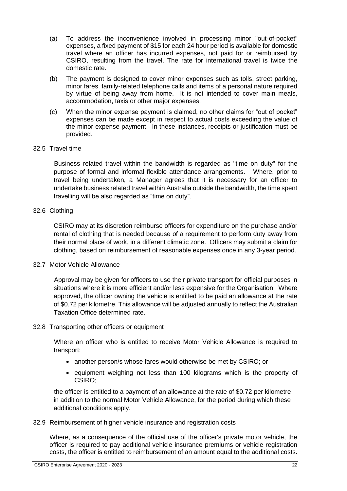- (a) To address the inconvenience involved in processing minor "out-of-pocket" expenses, a fixed payment of \$15 for each 24 hour period is available for domestic travel where an officer has incurred expenses, not paid for or reimbursed by CSIRO, resulting from the travel. The rate for international travel is twice the domestic rate.
- (b) The payment is designed to cover minor expenses such as tolls, street parking, minor fares, family-related telephone calls and items of a personal nature required by virtue of being away from home. It is not intended to cover main meals, accommodation, taxis or other major expenses.
- (c) When the minor expense payment is claimed, no other claims for "out of pocket" expenses can be made except in respect to actual costs exceeding the value of the minor expense payment. In these instances, receipts or justification must be provided.

#### 32.5 Travel time

Business related travel within the bandwidth is regarded as "time on duty" for the purpose of formal and informal flexible attendance arrangements. Where, prior to travel being undertaken, a Manager agrees that it is necessary for an officer to undertake business related travel within Australia outside the bandwidth, the time spent travelling will be also regarded as "time on duty".

## 32.6 Clothing

CSIRO may at its discretion reimburse officers for expenditure on the purchase and/or rental of clothing that is needed because of a requirement to perform duty away from their normal place of work, in a different climatic zone. Officers may submit a claim for clothing, based on reimbursement of reasonable expenses once in any 3-year period.

## 32.7 Motor Vehicle Allowance

Approval may be given for officers to use their private transport for official purposes in situations where it is more efficient and/or less expensive for the Organisation. Where approved, the officer owning the vehicle is entitled to be paid an allowance at the rate of \$0.72 per kilometre. This allowance will be adjusted annually to reflect the Australian Taxation Office determined rate.

## 32.8 Transporting other officers or equipment

Where an officer who is entitled to receive Motor Vehicle Allowance is required to transport:

- another person/s whose fares would otherwise be met by CSIRO; or
- equipment weighing not less than 100 kilograms which is the property of CSIRO;

the officer is entitled to a payment of an allowance at the rate of \$0.72 per kilometre in addition to the normal Motor Vehicle Allowance, for the period during which these additional conditions apply.

32.9 Reimbursement of higher vehicle insurance and registration costs

Where, as a consequence of the official use of the officer's private motor vehicle, the officer is required to pay additional vehicle insurance premiums or vehicle registration costs, the officer is entitled to reimbursement of an amount equal to the additional costs.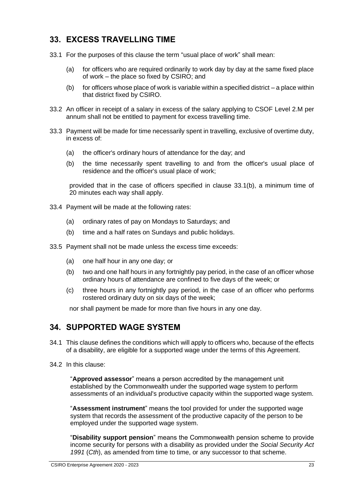# <span id="page-28-0"></span>**33. EXCESS TRAVELLING TIME**

- 33.1 For the purposes of this clause the term "usual place of work" shall mean:
	- (a) for officers who are required ordinarily to work day by day at the same fixed place of work – the place so fixed by CSIRO; and
	- (b) for officers whose place of work is variable within a specified district a place within that district fixed by CSIRO.
- 33.2 An officer in receipt of a salary in excess of the salary applying to CSOF Level 2.M per annum shall not be entitled to payment for excess travelling time.
- 33.3 Payment will be made for time necessarily spent in travelling, exclusive of overtime duty, in excess of:
	- (a) the officer's ordinary hours of attendance for the day; and
	- (b) the time necessarily spent travelling to and from the officer's usual place of residence and the officer's usual place of work;

provided that in the case of officers specified in clause 33.1(b), a minimum time of 20 minutes each way shall apply.

- 33.4 Payment will be made at the following rates:
	- (a) ordinary rates of pay on Mondays to Saturdays; and
	- (b) time and a half rates on Sundays and public holidays.
- 33.5 Payment shall not be made unless the excess time exceeds:
	- (a) one half hour in any one day; or
	- (b) two and one half hours in any fortnightly pay period, in the case of an officer whose ordinary hours of attendance are confined to five days of the week; or
	- (c) three hours in any fortnightly pay period, in the case of an officer who performs rostered ordinary duty on six days of the week;

nor shall payment be made for more than five hours in any one day.

# <span id="page-28-1"></span>**34. SUPPORTED WAGE SYSTEM**

- 34.1 This clause defines the conditions which will apply to officers who, because of the effects of a disability, are eligible for a supported wage under the terms of this Agreement.
- 34.2 In this clause:

"**Approved assessor**" means a person accredited by the management unit established by the Commonwealth under the supported wage system to perform assessments of an individual's productive capacity within the supported wage system.

"**Assessment instrument**" means the tool provided for under the supported wage system that records the assessment of the productive capacity of the person to be employed under the supported wage system.

"**Disability support pension**" means the Commonwealth pension scheme to provide income security for persons with a disability as provided under the *Social Security Act 1991* (*Cth*), as amended from time to time, or any successor to that scheme.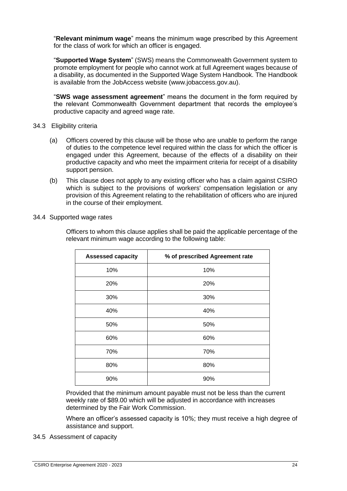"**Relevant minimum wage**" means the minimum wage prescribed by this Agreement for the class of work for which an officer is engaged.

"**Supported Wage System**" (SWS) means the Commonwealth Government system to promote employment for people who cannot work at full Agreement wages because of a disability, as documented in the Supported Wage System Handbook. The Handbook is available from the JobAccess website (www.jobaccess.gov.au).

"**SWS wage assessment agreement**" means the document in the form required by the relevant Commonwealth Government department that records the employee's productive capacity and agreed wage rate.

- 34.3 Eligibility criteria
	- (a) Officers covered by this clause will be those who are unable to perform the range of duties to the competence level required within the class for which the officer is engaged under this Agreement, because of the effects of a disability on their productive capacity and who meet the impairment criteria for receipt of a disability support pension.
	- (b) This clause does not apply to any existing officer who has a claim against CSIRO which is subject to the provisions of workers' compensation legislation or any provision of this Agreement relating to the rehabilitation of officers who are injured in the course of their employment.
- 34.4 Supported wage rates

Officers to whom this clause applies shall be paid the applicable percentage of the relevant minimum wage according to the following table:

| <b>Assessed capacity</b> | % of prescribed Agreement rate |
|--------------------------|--------------------------------|
| 10%                      | 10%                            |
| 20%                      | 20%                            |
| 30%                      | 30%                            |
| 40%                      | 40%                            |
| 50%                      | 50%                            |
| 60%                      | 60%                            |
| 70%                      | 70%                            |
| 80%                      | 80%                            |
| 90%                      | 90%                            |

Provided that the minimum amount payable must not be less than the current weekly rate of \$89.00 which will be adjusted in accordance with increases determined by the Fair Work Commission.

Where an officer's assessed capacity is 10%; they must receive a high degree of assistance and support.

34.5 Assessment of capacity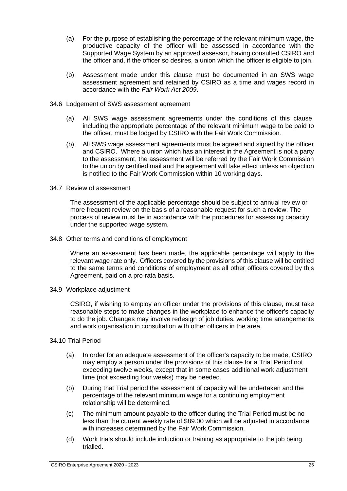- (a) For the purpose of establishing the percentage of the relevant minimum wage, the productive capacity of the officer will be assessed in accordance with the Supported Wage System by an approved assessor, having consulted CSIRO and the officer and, if the officer so desires, a union which the officer is eligible to join.
- (b) Assessment made under this clause must be documented in an SWS wage assessment agreement and retained by CSIRO as a time and wages record in accordance with the *Fair Work Act 2009*.
- 34.6 Lodgement of SWS assessment agreement
	- (a) All SWS wage assessment agreements under the conditions of this clause, including the appropriate percentage of the relevant minimum wage to be paid to the officer, must be lodged by CSIRO with the Fair Work Commission.
	- (b) All SWS wage assessment agreements must be agreed and signed by the officer and CSIRO. Where a union which has an interest in the Agreement is not a party to the assessment, the assessment will be referred by the Fair Work Commission to the union by certified mail and the agreement will take effect unless an objection is notified to the Fair Work Commission within 10 working days.
- 34.7 Review of assessment

The assessment of the applicable percentage should be subject to annual review or more frequent review on the basis of a reasonable request for such a review. The process of review must be in accordance with the procedures for assessing capacity under the supported wage system.

34.8 Other terms and conditions of employment

Where an assessment has been made, the applicable percentage will apply to the relevant wage rate only. Officers covered by the provisions of this clause will be entitled to the same terms and conditions of employment as all other officers covered by this Agreement, paid on a pro-rata basis.

34.9 Workplace adjustment

CSIRO, if wishing to employ an officer under the provisions of this clause, must take reasonable steps to make changes in the workplace to enhance the officer's capacity to do the job. Changes may involve redesign of job duties, working time arrangements and work organisation in consultation with other officers in the area.

- 34.10 Trial Period
	- (a) In order for an adequate assessment of the officer's capacity to be made, CSIRO may employ a person under the provisions of this clause for a Trial Period not exceeding twelve weeks, except that in some cases additional work adjustment time (not exceeding four weeks) may be needed.
	- (b) During that Trial period the assessment of capacity will be undertaken and the percentage of the relevant minimum wage for a continuing employment relationship will be determined.
	- (c) The minimum amount payable to the officer during the Trial Period must be no less than the current weekly rate of \$89.00 which will be adjusted in accordance with increases determined by the Fair Work Commission.
	- (d) Work trials should include induction or training as appropriate to the job being trialled.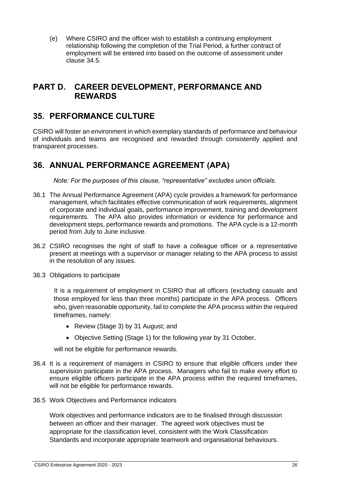(e) Where CSIRO and the officer wish to establish a continuing employment relationship following the completion of the Trial Period, a further contract of employment will be entered into based on the outcome of assessment under clause 34.5.

# <span id="page-31-0"></span>**PART D. CAREER DEVELOPMENT, PERFORMANCE AND REWARDS**

## <span id="page-31-1"></span>**35. PERFORMANCE CULTURE**

CSIRO will foster an environment in which exemplary standards of performance and behaviour of individuals and teams are recognised and rewarded through consistently applied and transparent processes.

# <span id="page-31-2"></span>**36. ANNUAL PERFORMANCE AGREEMENT (APA)**

*Note: For the purposes of this clause, "representative" excludes union officials.*

- 36.1 The Annual Performance Agreement (APA) cycle provides a framework for performance management, which facilitates effective communication of work requirements, alignment of corporate and individual goals, performance improvement, training and development requirements. The APA also provides information or evidence for performance and development steps, performance rewards and promotions. The APA cycle is a 12-month period from July to June inclusive.
- 36.2 CSIRO recognises the right of staff to have a colleague officer or a representative present at meetings with a supervisor or manager relating to the APA process to assist in the resolution of any issues.
- 36.3 Obligations to participate

It is a requirement of employment in CSIRO that all officers (excluding casuals and those employed for less than three months) participate in the APA process. Officers who, given reasonable opportunity, fail to complete the APA process within the required timeframes, namely:

- Review (Stage 3) by 31 August; and
- Objective Setting (Stage 1) for the following year by 31 October,

will not be eligible for performance rewards.

- 36.4 It is a requirement of managers in CSIRO to ensure that eligible officers under their supervision participate in the APA process. Managers who fail to make every effort to ensure eligible officers participate in the APA process within the required timeframes, will not be eligible for performance rewards.
- 36.5 Work Objectives and Performance indicators

Work objectives and performance indicators are to be finalised through discussion between an officer and their manager. The agreed work objectives must be appropriate for the classification level, consistent with the Work Classification Standards and incorporate appropriate teamwork and organisational behaviours.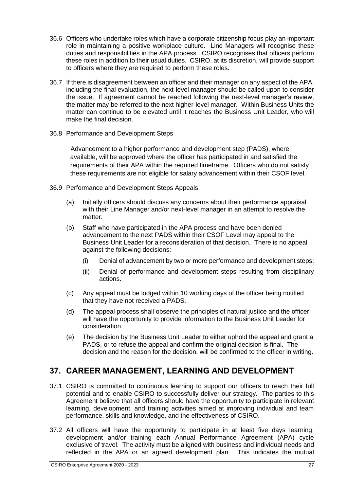- 36.6 Officers who undertake roles which have a corporate citizenship focus play an important role in maintaining a positive workplace culture. Line Managers will recognise these duties and responsibilities in the APA process. CSIRO recognises that officers perform these roles in addition to their usual duties. CSIRO, at its discretion, will provide support to officers where they are required to perform these roles.
- 36.7 If there is disagreement between an officer and their manager on any aspect of the APA, including the final evaluation, the next-level manager should be called upon to consider the issue. If agreement cannot be reached following the next-level manager's review, the matter may be referred to the next higher-level manager. Within Business Units the matter can continue to be elevated until it reaches the Business Unit Leader, who will make the final decision.
- 36.8 Performance and Development Steps

Advancement to a higher performance and development step (PADS), where available, will be approved where the officer has participated in and satisfied the requirements of their APA within the required timeframe. Officers who do not satisfy these requirements are not eligible for salary advancement within their CSOF level.

- 36.9 Performance and Development Steps Appeals
	- (a) Initially officers should discuss any concerns about their performance appraisal with their Line Manager and/or next-level manager in an attempt to resolve the matter.
	- (b) Staff who have participated in the APA process and have been denied advancement to the next PADS within their CSOF Level may appeal to the Business Unit Leader for a reconsideration of that decision. There is no appeal against the following decisions:
		- (i) Denial of advancement by two or more performance and development steps;
		- (ii) Denial of performance and development steps resulting from disciplinary actions.
	- (c) Any appeal must be lodged within 10 working days of the officer being notified that they have not received a PADS.
	- (d) The appeal process shall observe the principles of natural justice and the officer will have the opportunity to provide information to the Business Unit Leader for consideration.
	- (e) The decision by the Business Unit Leader to either uphold the appeal and grant a PADS, or to refuse the appeal and confirm the original decision is final. The decision and the reason for the decision, will be confirmed to the officer in writing.

# <span id="page-32-0"></span>**37. CAREER MANAGEMENT, LEARNING AND DEVELOPMENT**

- 37.1 CSIRO is committed to continuous learning to support our officers to reach their full potential and to enable CSIRO to successfully deliver our strategy. The parties to this Agreement believe that all officers should have the opportunity to participate in relevant learning, development, and training activities aimed at improving individual and team performance, skills and knowledge, and the effectiveness of CSIRO.
- 37.2 All officers will have the opportunity to participate in at least five days learning, development and/or training each Annual Performance Agreement (APA) cycle exclusive of travel. The activity must be aligned with business and individual needs and reflected in the APA or an agreed development plan. This indicates the mutual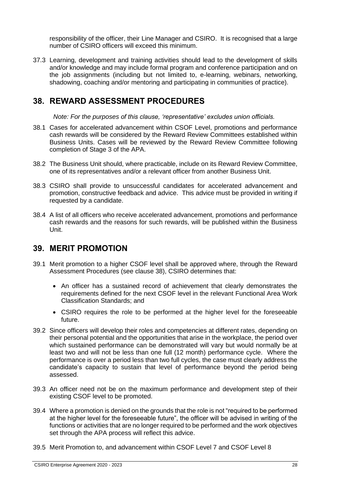responsibility of the officer, their Line Manager and CSIRO. It is recognised that a large number of CSIRO officers will exceed this minimum.

37.3 Learning, development and training activities should lead to the development of skills and/or knowledge and may include formal program and conference participation and on the job assignments (including but not limited to, e-learning, webinars, networking, shadowing, coaching and/or mentoring and participating in communities of practice).

## <span id="page-33-0"></span>**38. REWARD ASSESSMENT PROCEDURES**

*Note: For the purposes of this clause, 'representative' excludes union officials.*

- 38.1 Cases for accelerated advancement within CSOF Level, promotions and performance cash rewards will be considered by the Reward Review Committees established within Business Units. Cases will be reviewed by the Reward Review Committee following completion of Stage 3 of the APA.
- 38.2 The Business Unit should, where practicable, include on its Reward Review Committee, one of its representatives and/or a relevant officer from another Business Unit.
- 38.3 CSIRO shall provide to unsuccessful candidates for accelerated advancement and promotion, constructive feedback and advice. This advice must be provided in writing if requested by a candidate.
- 38.4 A list of all officers who receive accelerated advancement, promotions and performance cash rewards and the reasons for such rewards, will be published within the Business Unit.

## <span id="page-33-1"></span>**39. MERIT PROMOTION**

- 39.1 Merit promotion to a higher CSOF level shall be approved where, through the Reward Assessment Procedures (see clause 38), CSIRO determines that:
	- An officer has a sustained record of achievement that clearly demonstrates the requirements defined for the next CSOF level in the relevant Functional Area Work Classification Standards; and
	- CSIRO requires the role to be performed at the higher level for the foreseeable future.
- 39.2 Since officers will develop their roles and competencies at different rates, depending on their personal potential and the opportunities that arise in the workplace, the period over which sustained performance can be demonstrated will vary but would normally be at least two and will not be less than one full (12 month) performance cycle. Where the performance is over a period less than two full cycles, the case must clearly address the candidate's capacity to sustain that level of performance beyond the period being assessed.
- 39.3 An officer need not be on the maximum performance and development step of their existing CSOF level to be promoted.
- 39.4 Where a promotion is denied on the grounds that the role is not "required to be performed at the higher level for the foreseeable future", the officer will be advised in writing of the functions or activities that are no longer required to be performed and the work objectives set through the APA process will reflect this advice.
- 39.5 Merit Promotion to, and advancement within CSOF Level 7 and CSOF Level 8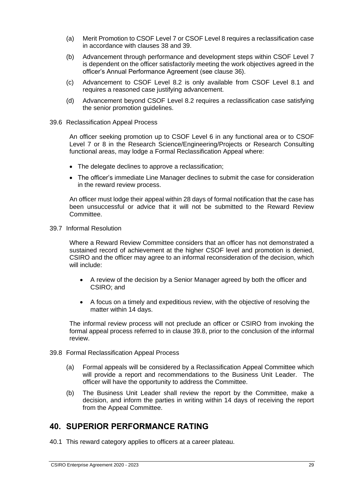- (a) Merit Promotion to CSOF Level 7 or CSOF Level 8 requires a reclassification case in accordance with clauses 38 and 39.
- (b) Advancement through performance and development steps within CSOF Level 7 is dependent on the officer satisfactorily meeting the work objectives agreed in the officer's Annual Performance Agreement (see clause 36).
- (c) Advancement to CSOF Level 8.2 is only available from CSOF Level 8.1 and requires a reasoned case justifying advancement.
- (d) Advancement beyond CSOF Level 8.2 requires a reclassification case satisfying the senior promotion guidelines.
- 39.6 Reclassification Appeal Process

An officer seeking promotion up to CSOF Level 6 in any functional area or to CSOF Level 7 or 8 in the Research Science/Engineering/Projects or Research Consulting functional areas, may lodge a Formal Reclassification Appeal where:

- The delegate declines to approve a reclassification;
- The officer's immediate Line Manager declines to submit the case for consideration in the reward review process.

An officer must lodge their appeal within 28 days of formal notification that the case has been unsuccessful or advice that it will not be submitted to the Reward Review Committee.

39.7 Informal Resolution

Where a Reward Review Committee considers that an officer has not demonstrated a sustained record of achievement at the higher CSOF level and promotion is denied, CSIRO and the officer may agree to an informal reconsideration of the decision, which will include:

- A review of the decision by a Senior Manager agreed by both the officer and CSIRO; and
- A focus on a timely and expeditious review, with the objective of resolving the matter within 14 days.

The informal review process will not preclude an officer or CSIRO from invoking the formal appeal process referred to in clause 39.8, prior to the conclusion of the informal review.

- 39.8 Formal Reclassification Appeal Process
	- (a) Formal appeals will be considered by a Reclassification Appeal Committee which will provide a report and recommendations to the Business Unit Leader. The officer will have the opportunity to address the Committee.
	- (b) The Business Unit Leader shall review the report by the Committee, make a decision, and inform the parties in writing within 14 days of receiving the report from the Appeal Committee.

# <span id="page-34-0"></span>**40. SUPERIOR PERFORMANCE RATING**

40.1 This reward category applies to officers at a career plateau.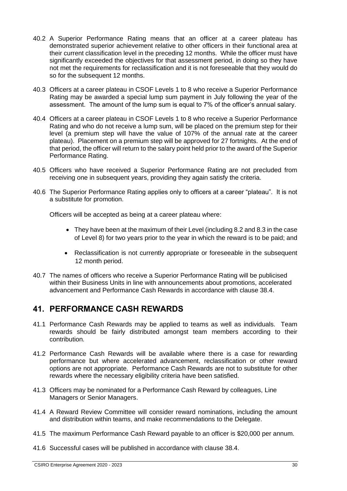- 40.2 A Superior Performance Rating means that an officer at a career plateau has demonstrated superior achievement relative to other officers in their functional area at their current classification level in the preceding 12 months. While the officer must have significantly exceeded the objectives for that assessment period, in doing so they have not met the requirements for reclassification and it is not foreseeable that they would do so for the subsequent 12 months.
- 40.3 Officers at a career plateau in CSOF Levels 1 to 8 who receive a Superior Performance Rating may be awarded a special lump sum payment in July following the year of the assessment. The amount of the lump sum is equal to 7% of the officer's annual salary.
- 40.4 Officers at a career plateau in CSOF Levels 1 to 8 who receive a Superior Performance Rating and who do not receive a lump sum, will be placed on the premium step for their level (a premium step will have the value of 107% of the annual rate at the career plateau). Placement on a premium step will be approved for 27 fortnights. At the end of that period, the officer will return to the salary point held prior to the award of the Superior Performance Rating.
- 40.5 Officers who have received a Superior Performance Rating are not precluded from receiving one in subsequent years, providing they again satisfy the criteria.
- 40.6 The Superior Performance Rating applies only to officers at a career "plateau". It is not a substitute for promotion.

Officers will be accepted as being at a career plateau where:

- They have been at the maximum of their Level (including 8.2 and 8.3 in the case of Level 8) for two years prior to the year in which the reward is to be paid; and
- Reclassification is not currently appropriate or foreseeable in the subsequent 12 month period.
- 40.7 The names of officers who receive a Superior Performance Rating will be publicised within their Business Units in line with announcements about promotions, accelerated advancement and Performance Cash Rewards in accordance with clause 38.4.

## <span id="page-35-0"></span>**41. PERFORMANCE CASH REWARDS**

- 41.1 Performance Cash Rewards may be applied to teams as well as individuals. Team rewards should be fairly distributed amongst team members according to their contribution.
- 41.2 Performance Cash Rewards will be available where there is a case for rewarding performance but where accelerated advancement, reclassification or other reward options are not appropriate. Performance Cash Rewards are not to substitute for other rewards where the necessary eligibility criteria have been satisfied.
- 41.3 Officers may be nominated for a Performance Cash Reward by colleagues, Line Managers or Senior Managers.
- 41.4 A Reward Review Committee will consider reward nominations, including the amount and distribution within teams, and make recommendations to the Delegate.
- 41.5 The maximum Performance Cash Reward payable to an officer is \$20,000 per annum.
- 41.6 Successful cases will be published in accordance with clause 38.4.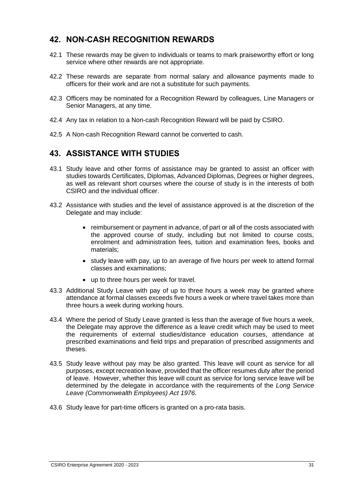### **42. NON-CASH RECOGNITION REWARDS**

- 42.1 These rewards may be given to individuals or teams to mark praiseworthy effort or long service where other rewards are not appropriate.
- 42.2 These rewards are separate from normal salary and allowance payments made to officers for their work and are not a substitute for such payments.
- 42.3 Officers may be nominated for a Recognition Reward by colleagues, Line Managers or Senior Managers, at any time.
- 42.4 Any tax in relation to a Non-cash Recognition Reward will be paid by CSIRO.
- 42.5 A Non-cash Recognition Reward cannot be converted to cash.

### **43. ASSISTANCE WITH STUDIES**

- 43.1 Study leave and other forms of assistance may be granted to assist an officer with studies towards Certificates, Diplomas, Advanced Diplomas, Degrees or higher degrees, as well as relevant short courses where the course of study is in the interests of both CSIRO and the individual officer.
- 43.2 Assistance with studies and the level of assistance approved is at the discretion of the Delegate and may include:
	- reimbursement or payment in advance, of part or all of the costs associated with the approved course of study, including but not limited to course costs, enrolment and administration fees, tuition and examination fees, books and materials;
	- study leave with pay, up to an average of five hours per week to attend formal classes and examinations;
	- up to three hours per week for travel.
- 43.3 Additional Study Leave with pay of up to three hours a week may be granted where attendance at formal classes exceeds five hours a week or where travel takes more than three hours a week during working hours.
- 43.4 Where the period of Study Leave granted is less than the average of five hours a week, the Delegate may approve the difference as a leave credit which may be used to meet the requirements of external studies/distance education courses, attendance at prescribed examinations and field trips and preparation of prescribed assignments and theses.
- 43.5 Study leave without pay may be also granted. This leave will count as service for all purposes, except recreation leave, provided that the officer resumes duty after the period of leave. However, whether this leave will count as service for long service leave will be determined by the delegate in accordance with the requirements of the *Long Service Leave (Commonwealth Employees) Act 1976*.
- 43.6 Study leave for part-time officers is granted on a pro-rata basis.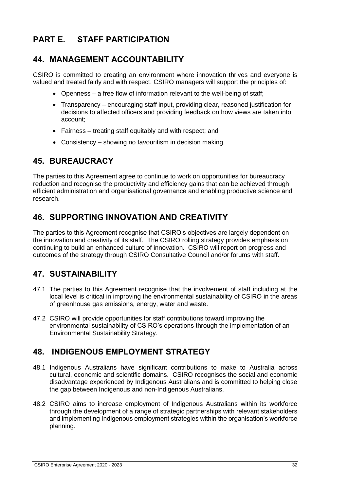# **PART E. STAFF PARTICIPATION**

## **44. MANAGEMENT ACCOUNTABILITY**

CSIRO is committed to creating an environment where innovation thrives and everyone is valued and treated fairly and with respect. CSIRO managers will support the principles of:

- Openness a free flow of information relevant to the well-being of staff;
- Transparency encouraging staff input, providing clear, reasoned justification for decisions to affected officers and providing feedback on how views are taken into account;
- Fairness treating staff equitably and with respect; and
- Consistency showing no favouritism in decision making.

## **45. BUREAUCRACY**

The parties to this Agreement agree to continue to work on opportunities for bureaucracy reduction and recognise the productivity and efficiency gains that can be achieved through efficient administration and organisational governance and enabling productive science and research.

# **46. SUPPORTING INNOVATION AND CREATIVITY**

The parties to this Agreement recognise that CSIRO's objectives are largely dependent on the innovation and creativity of its staff. The CSIRO rolling strategy provides emphasis on continuing to build an enhanced culture of innovation. CSIRO will report on progress and outcomes of the strategy through CSIRO Consultative Council and/or forums with staff.

## **47. SUSTAINABILITY**

- 47.1 The parties to this Agreement recognise that the involvement of staff including at the local level is critical in improving the environmental sustainability of CSIRO in the areas of greenhouse gas emissions, energy, water and waste.
- 47.2 CSIRO will provide opportunities for staff contributions toward improving the environmental sustainability of CSIRO's operations through the implementation of an Environmental Sustainability Strategy.

## **48. INDIGENOUS EMPLOYMENT STRATEGY**

- 48.1 Indigenous Australians have significant contributions to make to Australia across cultural, economic and scientific domains. CSIRO recognises the social and economic disadvantage experienced by Indigenous Australians and is committed to helping close the gap between Indigenous and non-Indigenous Australians.
- 48.2 CSIRO aims to increase employment of Indigenous Australians within its workforce through the development of a range of strategic partnerships with relevant stakeholders and implementing Indigenous employment strategies within the organisation's workforce planning.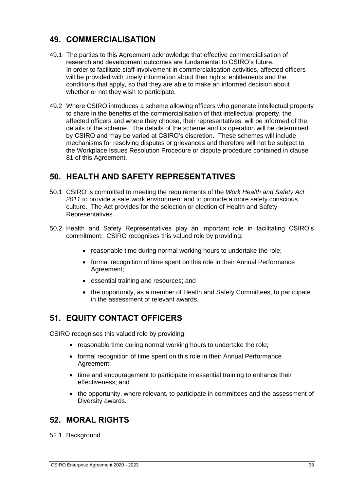### **49. COMMERCIALISATION**

- 49.1 The parties to this Agreement acknowledge that effective commercialisation of research and development outcomes are fundamental to CSIRO's future. In order to facilitate staff involvement in commercialisation activities, affected officers will be provided with timely information about their rights, entitlements and the conditions that apply, so that they are able to make an informed decision about whether or not they wish to participate.
- 49.2 Where CSIRO introduces a scheme allowing officers who generate intellectual property to share in the benefits of the commercialisation of that intellectual property, the affected officers and where they choose, their representatives, will be informed of the details of the scheme. The details of the scheme and its operation will be determined by CSIRO and may be varied at CSIRO's discretion. These schemes will include mechanisms for resolving disputes or grievances and therefore will not be subject to the Workplace Issues Resolution Procedure or dispute procedure contained in clause 81 of this Agreement.

## **50. HEALTH AND SAFETY REPRESENTATIVES**

- 50.1 CSIRO is committed to meeting the requirements of the *Work Health and Safety Act 2011* to provide a safe work environment and to promote a more safety conscious culture. The Act provides for the selection or election of Health and Safety Representatives.
- 50.2 Health and Safety Representatives play an important role in facilitating CSIRO's commitment. CSIRO recognises this valued role by providing:
	- reasonable time during normal working hours to undertake the role;
	- formal recognition of time spent on this role in their Annual Performance Agreement;
	- essential training and resources; and
	- the opportunity, as a member of Health and Safety Committees, to participate in the assessment of relevant awards.

## **51. EQUITY CONTACT OFFICERS**

CSIRO recognises this valued role by providing:

- reasonable time during normal working hours to undertake the role;
- formal recognition of time spent on this role in their Annual Performance Agreement;
- time and encouragement to participate in essential training to enhance their effectiveness; and
- the opportunity, where relevant, to participate in committees and the assessment of Diversity awards.

### **52. MORAL RIGHTS**

52.1 Background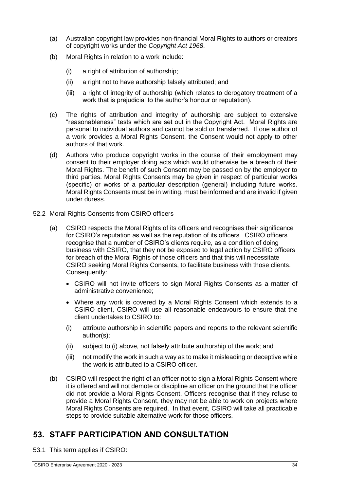- (a) Australian copyright law provides non-financial Moral Rights to authors or creators of copyright works under the *Copyright Act 1968*.
- (b) Moral Rights in relation to a work include:
	- (i) a right of attribution of authorship;
	- (ii) a right not to have authorship falsely attributed; and
	- (iii) a right of integrity of authorship (which relates to derogatory treatment of a work that is prejudicial to the author's honour or reputation).
- (c) The rights of attribution and integrity of authorship are subject to extensive "reasonableness" tests which are set out in the Copyright Act. Moral Rights are personal to individual authors and cannot be sold or transferred. If one author of a work provides a Moral Rights Consent, the Consent would not apply to other authors of that work.
- (d) Authors who produce copyright works in the course of their employment may consent to their employer doing acts which would otherwise be a breach of their Moral Rights. The benefit of such Consent may be passed on by the employer to third parties. Moral Rights Consents may be given in respect of particular works (specific) or works of a particular description (general) including future works. Moral Rights Consents must be in writing, must be informed and are invalid if given under duress.
- 52.2 Moral Rights Consents from CSIRO officers
	- (a) CSIRO respects the Moral Rights of its officers and recognises their significance for CSIRO's reputation as well as the reputation of its officers. CSIRO officers recognise that a number of CSIRO's clients require, as a condition of doing business with CSIRO, that they not be exposed to legal action by CSIRO officers for breach of the Moral Rights of those officers and that this will necessitate CSIRO seeking Moral Rights Consents, to facilitate business with those clients. Consequently:
		- CSIRO will not invite officers to sign Moral Rights Consents as a matter of administrative convenience;
		- Where any work is covered by a Moral Rights Consent which extends to a CSIRO client, CSIRO will use all reasonable endeavours to ensure that the client undertakes to CSIRO to:
		- (i) attribute authorship in scientific papers and reports to the relevant scientific author(s);
		- (ii) subject to (i) above, not falsely attribute authorship of the work; and
		- (iii) not modify the work in such a way as to make it misleading or deceptive while the work is attributed to a CSIRO officer.
	- (b) CSIRO will respect the right of an officer not to sign a Moral Rights Consent where it is offered and will not demote or discipline an officer on the ground that the officer did not provide a Moral Rights Consent. Officers recognise that if they refuse to provide a Moral Rights Consent, they may not be able to work on projects where Moral Rights Consents are required. In that event, CSIRO will take all practicable steps to provide suitable alternative work for those officers.

## **53. STAFF PARTICIPATION AND CONSULTATION**

53.1 This term applies if CSIRO: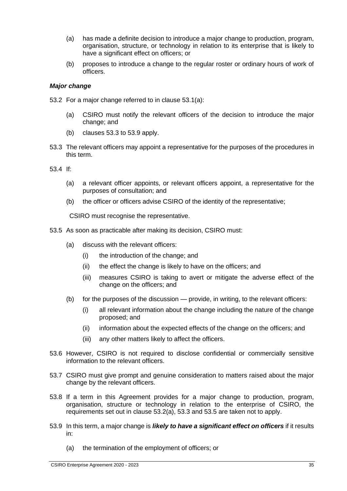- (a) has made a definite decision to introduce a major change to production, program, organisation, structure, or technology in relation to its enterprise that is likely to have a significant effect on officers; or
- (b) proposes to introduce a change to the regular roster or ordinary hours of work of officers.

#### *Major change*

- 53.2 For a major change referred to in clause 53.1(a):
	- (a) CSIRO must notify the relevant officers of the decision to introduce the major change; and
	- (b) clauses 53.3 to 53.9 apply.
- 53.3 The relevant officers may appoint a representative for the purposes of the procedures in this term.
- 53.4 If:
	- (a) a relevant officer appoints, or relevant officers appoint, a representative for the purposes of consultation; and
	- (b) the officer or officers advise CSIRO of the identity of the representative;

CSIRO must recognise the representative.

- 53.5 As soon as practicable after making its decision, CSIRO must:
	- (a) discuss with the relevant officers:
		- (i) the introduction of the change; and
		- (ii) the effect the change is likely to have on the officers; and
		- (iii) measures CSIRO is taking to avert or mitigate the adverse effect of the change on the officers; and
	- (b) for the purposes of the discussion provide, in writing, to the relevant officers:
		- (i) all relevant information about the change including the nature of the change proposed; and
		- (ii) information about the expected effects of the change on the officers; and
		- (iii) any other matters likely to affect the officers.
- 53.6 However, CSIRO is not required to disclose confidential or commercially sensitive information to the relevant officers.
- 53.7 CSIRO must give prompt and genuine consideration to matters raised about the major change by the relevant officers.
- 53.8 If a term in this Agreement provides for a major change to production, program, organisation, structure or technology in relation to the enterprise of CSIRO, the requirements set out in clause 53.2(a), 53.3 and 53.5 are taken not to apply.
- 53.9 In this term, a major change is *likely to have a significant effect on officers* if it results in:
	- (a) the termination of the employment of officers; or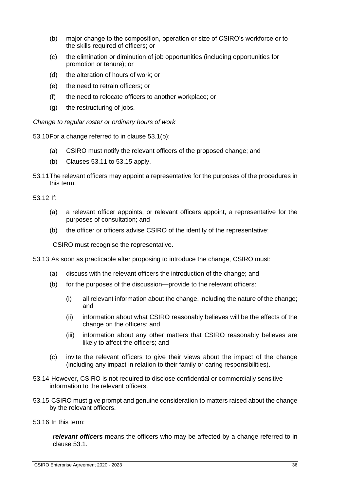- (b) major change to the composition, operation or size of CSIRO's workforce or to the skills required of officers; or
- (c) the elimination or diminution of job opportunities (including opportunities for promotion or tenure); or
- (d) the alteration of hours of work; or
- (e) the need to retrain officers; or
- (f) the need to relocate officers to another workplace; or
- (g) the restructuring of jobs.

*Change to regular roster or ordinary hours of work*

53.10For a change referred to in clause 53.1(b):

- (a) CSIRO must notify the relevant officers of the proposed change; and
- (b) Clauses 53.11 to 53.15 apply.
- 53.11The relevant officers may appoint a representative for the purposes of the procedures in this term.

53.12 If:

- (a) a relevant officer appoints, or relevant officers appoint, a representative for the purposes of consultation; and
- (b) the officer or officers advise CSIRO of the identity of the representative;

CSIRO must recognise the representative.

53.13 As soon as practicable after proposing to introduce the change, CSIRO must:

- (a) discuss with the relevant officers the introduction of the change; and
- (b) for the purposes of the discussion—provide to the relevant officers:
	- (i) all relevant information about the change, including the nature of the change; and
	- (ii) information about what CSIRO reasonably believes will be the effects of the change on the officers; and
	- (iii) information about any other matters that CSIRO reasonably believes are likely to affect the officers; and
- (c) invite the relevant officers to give their views about the impact of the change (including any impact in relation to their family or caring responsibilities).
- 53.14 However, CSIRO is not required to disclose confidential or commercially sensitive information to the relevant officers.
- 53.15 CSIRO must give prompt and genuine consideration to matters raised about the change by the relevant officers.

53.16 In this term:

*relevant officers* means the officers who may be affected by a change referred to in clause 53.1.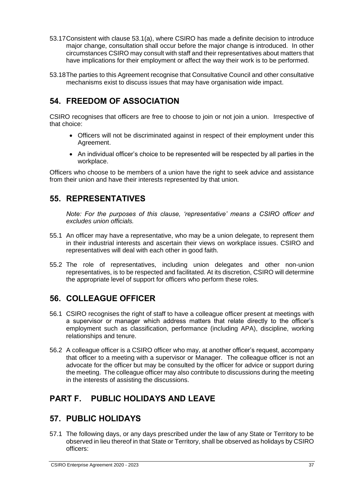- 53.17Consistent with clause 53.1(a), where CSIRO has made a definite decision to introduce major change, consultation shall occur before the major change is introduced. In other circumstances CSIRO may consult with staff and their representatives about matters that have implications for their employment or affect the way their work is to be performed.
- 53.18The parties to this Agreement recognise that Consultative Council and other consultative mechanisms exist to discuss issues that may have organisation wide impact.

# **54. FREEDOM OF ASSOCIATION**

CSIRO recognises that officers are free to choose to join or not join a union. Irrespective of that choice:

- Officers will not be discriminated against in respect of their employment under this Agreement.
- An individual officer's choice to be represented will be respected by all parties in the workplace.

Officers who choose to be members of a union have the right to seek advice and assistance from their union and have their interests represented by that union.

### **55. REPRESENTATIVES**

*Note: For the purposes of this clause, 'representative' means a CSIRO officer and excludes union officials.*

- 55.1 An officer may have a representative, who may be a union delegate, to represent them in their industrial interests and ascertain their views on workplace issues. CSIRO and representatives will deal with each other in good faith.
- 55.2 The role of representatives, including union delegates and other non-union representatives, is to be respected and facilitated. At its discretion, CSIRO will determine the appropriate level of support for officers who perform these roles.

## **56. COLLEAGUE OFFICER**

- 56.1 CSIRO recognises the right of staff to have a colleague officer present at meetings with a supervisor or manager which address matters that relate directly to the officer's employment such as classification, performance (including APA), discipline, working relationships and tenure.
- 56.2 A colleague officer is a CSIRO officer who may, at another officer's request, accompany that officer to a meeting with a supervisor or Manager. The colleague officer is not an advocate for the officer but may be consulted by the officer for advice or support during the meeting. The colleague officer may also contribute to discussions during the meeting in the interests of assisting the discussions.

# **PART F. PUBLIC HOLIDAYS AND LEAVE**

## **57. PUBLIC HOLIDAYS**

57.1 The following days, or any days prescribed under the law of any State or Territory to be observed in lieu thereof in that State or Territory, shall be observed as holidays by CSIRO officers: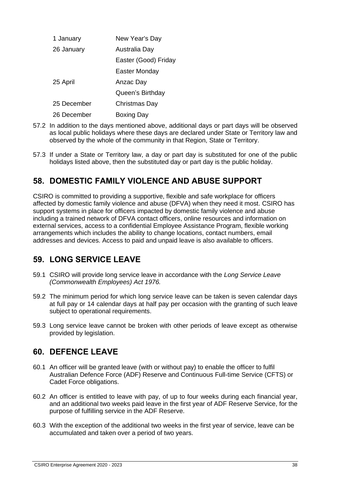| 1 January   | New Year's Day       |
|-------------|----------------------|
| 26 January  | Australia Day        |
|             | Easter (Good) Friday |
|             | Easter Monday        |
| 25 April    | Anzac Day            |
|             | Queen's Birthday     |
| 25 December | Christmas Day        |
| 26 December | Boxing Day           |

- 57.2 In addition to the days mentioned above, additional days or part days will be observed as local public holidays where these days are declared under State or Territory law and observed by the whole of the community in that Region, State or Territory.
- 57.3 If under a State or Territory law, a day or part day is substituted for one of the public holidays listed above, then the substituted day or part day is the public holiday.

## **58. DOMESTIC FAMILY VIOLENCE AND ABUSE SUPPORT**

CSIRO is committed to providing a supportive, flexible and safe workplace for officers affected by domestic family violence and abuse (DFVA) when they need it most. CSIRO has support systems in place for officers impacted by domestic family violence and abuse including a trained network of DFVA contact officers, online resources and information on external services, access to a confidential Employee Assistance Program, flexible working arrangements which includes the ability to change locations, contact numbers, email addresses and devices. Access to paid and unpaid leave is also available to officers.

# **59. LONG SERVICE LEAVE**

- 59.1 CSIRO will provide long service leave in accordance with the *Long Service Leave (Commonwealth Employees) Act 1976.*
- 59.2 The minimum period for which long service leave can be taken is seven calendar days at full pay or 14 calendar days at half pay per occasion with the granting of such leave subject to operational requirements.
- 59.3 Long service leave cannot be broken with other periods of leave except as otherwise provided by legislation.

## **60. DEFENCE LEAVE**

- 60.1 An officer will be granted leave (with or without pay) to enable the officer to fulfil Australian Defence Force (ADF) Reserve and Continuous Full-time Service (CFTS) or Cadet Force obligations.
- 60.2 An officer is entitled to leave with pay, of up to four weeks during each financial year, and an additional two weeks paid leave in the first year of ADF Reserve Service, for the purpose of fulfilling service in the ADF Reserve.
- 60.3 With the exception of the additional two weeks in the first year of service, leave can be accumulated and taken over a period of two years.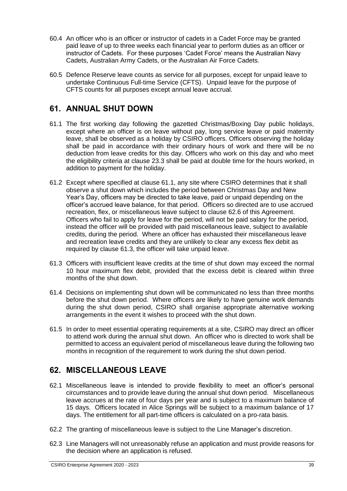- 60.4 An officer who is an officer or instructor of cadets in a Cadet Force may be granted paid leave of up to three weeks each financial year to perform duties as an officer or instructor of Cadets. For these purposes 'Cadet Force' means the Australian Navy Cadets, Australian Army Cadets, or the Australian Air Force Cadets.
- 60.5 Defence Reserve leave counts as service for all purposes, except for unpaid leave to undertake Continuous Full-time Service (CFTS). Unpaid leave for the purpose of CFTS counts for all purposes except annual leave accrual.

## **61. ANNUAL SHUT DOWN**

- 61.1 The first working day following the gazetted Christmas/Boxing Day public holidays, except where an officer is on leave without pay, long service leave or paid maternity leave, shall be observed as a holiday by CSIRO officers. Officers observing the holiday shall be paid in accordance with their ordinary hours of work and there will be no deduction from leave credits for this day. Officers who work on this day and who meet the eligibility criteria at clause 23.3 shall be paid at double time for the hours worked, in addition to payment for the holiday.
- 61.2 Except where specified at clause 61.1, any site where CSIRO determines that it shall observe a shut down which includes the period between Christmas Day and New Year's Day, officers may be directed to take leave, paid or unpaid depending on the officer's accrued leave balance, for that period. Officers so directed are to use accrued recreation, flex, or miscellaneous leave subject to clause 62.6 of this Agreement. Officers who fail to apply for leave for the period, will not be paid salary for the period, instead the officer will be provided with paid miscellaneous leave, subject to available credits, during the period. Where an officer has exhausted their miscellaneous leave and recreation leave credits and they are unlikely to clear any excess flex debit as required by clause 61.3, the officer will take unpaid leave.
- 61.3 Officers with insufficient leave credits at the time of shut down may exceed the normal 10 hour maximum flex debit, provided that the excess debit is cleared within three months of the shut down.
- 61.4 Decisions on implementing shut down will be communicated no less than three months before the shut down period. Where officers are likely to have genuine work demands during the shut down period, CSIRO shall organise appropriate alternative working arrangements in the event it wishes to proceed with the shut down.
- 61.5 In order to meet essential operating requirements at a site, CSIRO may direct an officer to attend work during the annual shut down. An officer who is directed to work shall be permitted to access an equivalent period of miscellaneous leave during the following two months in recognition of the requirement to work during the shut down period.

## **62. MISCELLANEOUS LEAVE**

- 62.1 Miscellaneous leave is intended to provide flexibility to meet an officer's personal circumstances and to provide leave during the annual shut down period. Miscellaneous leave accrues at the rate of four days per year and is subject to a maximum balance of 15 days. Officers located in Alice Springs will be subject to a maximum balance of 17 days. The entitlement for all part-time officers is calculated on a pro-rata basis.
- 62.2 The granting of miscellaneous leave is subject to the Line Manager's discretion.
- 62.3 Line Managers will not unreasonably refuse an application and must provide reasons for the decision where an application is refused.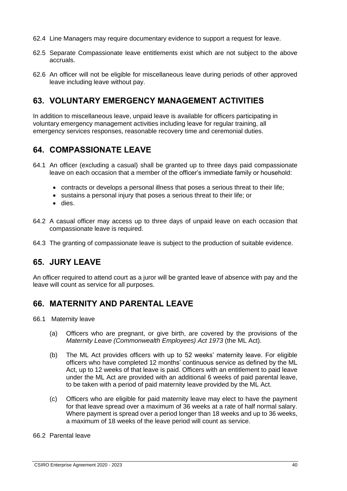- 62.4 Line Managers may require documentary evidence to support a request for leave.
- 62.5 Separate Compassionate leave entitlements exist which are not subject to the above accruals.
- 62.6 An officer will not be eligible for miscellaneous leave during periods of other approved leave including leave without pay.

### **63. VOLUNTARY EMERGENCY MANAGEMENT ACTIVITIES**

In addition to miscellaneous leave, unpaid leave is available for officers participating in voluntary emergency management activities including leave for regular training, all emergency services responses, reasonable recovery time and ceremonial duties.

### **64. COMPASSIONATE LEAVE**

- 64.1 An officer (excluding a casual) shall be granted up to three days paid compassionate leave on each occasion that a member of the officer's immediate family or household:
	- contracts or develops a personal illness that poses a serious threat to their life;
	- sustains a personal injury that poses a serious threat to their life; or
	- dies.
- 64.2 A casual officer may access up to three days of unpaid leave on each occasion that compassionate leave is required.
- 64.3 The granting of compassionate leave is subject to the production of suitable evidence.

## **65. JURY LEAVE**

An officer required to attend court as a juror will be granted leave of absence with pay and the leave will count as service for all purposes.

## **66. MATERNITY AND PARENTAL LEAVE**

- 66.1 Maternity leave
	- (a) Officers who are pregnant, or give birth, are covered by the provisions of the *Maternity Leave (Commonwealth Employees) Act 1973* (the ML Act).
	- (b) The ML Act provides officers with up to 52 weeks' maternity leave. For eligible officers who have completed 12 months' continuous service as defined by the ML Act, up to 12 weeks of that leave is paid. Officers with an entitlement to paid leave under the ML Act are provided with an additional 6 weeks of paid parental leave, to be taken with a period of paid maternity leave provided by the ML Act.
	- (c) Officers who are eligible for paid maternity leave may elect to have the payment for that leave spread over a maximum of 36 weeks at a rate of half normal salary. Where payment is spread over a period longer than 18 weeks and up to 36 weeks, a maximum of 18 weeks of the leave period will count as service.

#### 66.2 Parental leave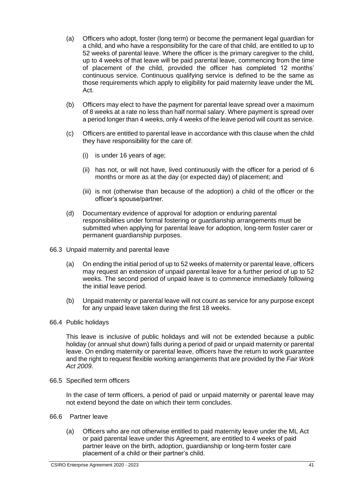- (a) Officers who adopt, foster (long term) or become the permanent legal guardian for a child, and who have a responsibility for the care of that child, are entitled to up to 52 weeks of parental leave. Where the officer is the primary caregiver to the child, up to 4 weeks of that leave will be paid parental leave, commencing from the time of placement of the child, provided the officer has completed 12 months' continuous service. Continuous qualifying service is defined to be the same as those requirements which apply to eligibility for paid maternity leave under the ML Act.
- (b) Officers may elect to have the payment for parental leave spread over a maximum of 8 weeks at a rate no less than half normal salary. Where payment is spread over a period longer than 4 weeks, only 4 weeks of the leave period will count as service.
- (c) Officers are entitled to parental leave in accordance with this clause when the child they have responsibility for the care of:
	- (i) is under 16 years of age;
	- (ii) has not, or will not have, lived continuously with the officer for a period of 6 months or more as at the day (or expected day) of placement; and
	- (iii) is not (otherwise than because of the adoption) a child of the officer or the officer's spouse/partner.
- (d) Documentary evidence of approval for adoption or enduring parental responsibilities under formal fostering or guardianship arrangements must be submitted when applying for parental leave for adoption, long-term foster carer or permanent guardianship purposes.
- 66.3 Unpaid maternity and parental leave
	- (a) On ending the initial period of up to 52 weeks of maternity or parental leave, officers may request an extension of unpaid parental leave for a further period of up to 52 weeks. The second period of unpaid leave is to commence immediately following the initial leave period.
	- (b) Unpaid maternity or parental leave will not count as service for any purpose except for any unpaid leave taken during the first 18 weeks.
- 66.4 Public holidays

This leave is inclusive of public holidays and will not be extended because a public holiday (or annual shut down) falls during a period of paid or unpaid maternity or parental leave. On ending maternity or parental leave, officers have the return to work guarantee and the right to request flexible working arrangements that are provided by the *Fair Work Act 2009*.

66.5 Specified term officers

In the case of term officers, a period of paid or unpaid maternity or parental leave may not extend beyond the date on which their term concludes.

- 66.6 Partner leave
	- (a) Officers who are not otherwise entitled to paid maternity leave under the ML Act or paid parental leave under this Agreement, are entitled to 4 weeks of paid partner leave on the birth, adoption, guardianship or long-term foster care placement of a child or their partner's child.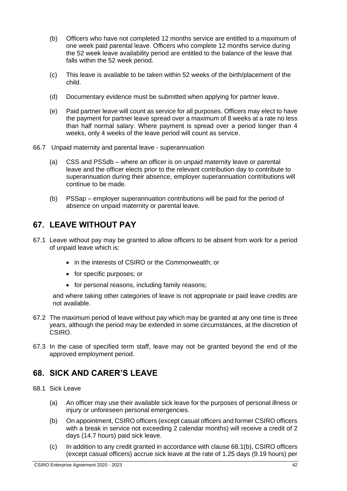- (b) Officers who have not completed 12 months service are entitled to a maximum of one week paid parental leave. Officers who complete 12 months service during the 52 week leave availability period are entitled to the balance of the leave that falls within the 52 week period.
- (c) This leave is available to be taken within 52 weeks of the birth/placement of the child.
- (d) Documentary evidence must be submitted when applying for partner leave.
- (e) Paid partner leave will count as service for all purposes. Officers may elect to have the payment for partner leave spread over a maximum of 8 weeks at a rate no less than half normal salary. Where payment is spread over a period longer than 4 weeks, only 4 weeks of the leave period will count as service.
- 66.7 Unpaid maternity and parental leave superannuation
	- (a) CSS and PSSdb where an officer is on unpaid maternity leave or parental leave and the officer elects prior to the relevant contribution day to contribute to superannuation during their absence, employer superannuation contributions will continue to be made.
	- (b) PSSap employer superannuation contributions will be paid for the period of absence on unpaid maternity or parental leave.

# **67. LEAVE WITHOUT PAY**

- 67.1 Leave without pay may be granted to allow officers to be absent from work for a period of unpaid leave which is:
	- in the interests of CSIRO or the Commonwealth; or
	- for specific purposes; or
	- for personal reasons, including family reasons;

and where taking other categories of leave is not appropriate or paid leave credits are not available.

- 67.2 The maximum period of leave without pay which may be granted at any one time is three years, although the period may be extended in some circumstances, at the discretion of CSIRO.
- 67.3 In the case of specified term staff, leave may not be granted beyond the end of the approved employment period.

# **68. SICK AND CARER'S LEAVE**

- 68.1 Sick Leave
	- (a) An officer may use their available sick leave for the purposes of personal illness or injury or unforeseen personal emergencies.
	- (b) On appointment, CSIRO officers (except casual officers and former CSIRO officers with a break in service not exceeding 2 calendar months) will receive a credit of 2 days (14.7 hours) paid sick leave.
	- (c) In addition to any credit granted in accordance with clause 68.1(b), CSIRO officers (except casual officers) accrue sick leave at the rate of 1.25 days (9.19 hours) per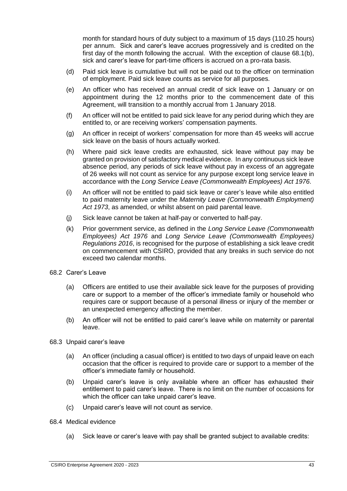month for standard hours of duty subject to a maximum of 15 days (110.25 hours) per annum. Sick and carer's leave accrues progressively and is credited on the first day of the month following the accrual. With the exception of clause 68.1(b), sick and carer's leave for part-time officers is accrued on a pro-rata basis.

- (d) Paid sick leave is cumulative but will not be paid out to the officer on termination of employment. Paid sick leave counts as service for all purposes.
- (e) An officer who has received an annual credit of sick leave on 1 January or on appointment during the 12 months prior to the commencement date of this Agreement, will transition to a monthly accrual from 1 January 2018.
- (f) An officer will not be entitled to paid sick leave for any period during which they are entitled to, or are receiving workers' compensation payments.
- (g) An officer in receipt of workers' compensation for more than 45 weeks will accrue sick leave on the basis of hours actually worked.
- (h) Where paid sick leave credits are exhausted, sick leave without pay may be granted on provision of satisfactory medical evidence. In any continuous sick leave absence period, any periods of sick leave without pay in excess of an aggregate of 26 weeks will not count as service for any purpose except long service leave in accordance with the *Long Service Leave (Commonwealth Employees) Act 1976*.
- (i) An officer will not be entitled to paid sick leave or carer's leave while also entitled to paid maternity leave under the *Maternity Leave (Commonwealth Employment) Act 1973*, as amended, or whilst absent on paid parental leave.
- (j) Sick leave cannot be taken at half-pay or converted to half-pay.
- (k) Prior government service, as defined in the *Long Service Leave (Commonwealth Employees) Act 1976* and *Long Service Leave (Commonwealth Employees) Regulations 2016*, is recognised for the purpose of establishing a sick leave credit on commencement with CSIRO, provided that any breaks in such service do not exceed two calendar months.
- 68.2 Carer's Leave
	- (a) Officers are entitled to use their available sick leave for the purposes of providing care or support to a member of the officer's immediate family or household who requires care or support because of a personal illness or injury of the member or an unexpected emergency affecting the member.
	- (b) An officer will not be entitled to paid carer's leave while on maternity or parental leave.
- 68.3 Unpaid carer's leave
	- (a) An officer (including a casual officer) is entitled to two days of unpaid leave on each occasion that the officer is required to provide care or support to a member of the officer's immediate family or household.
	- (b) Unpaid carer's leave is only available where an officer has exhausted their entitlement to paid carer's leave. There is no limit on the number of occasions for which the officer can take unpaid carer's leave.
	- (c) Unpaid carer's leave will not count as service.
- 68.4 Medical evidence
	- (a) Sick leave or carer's leave with pay shall be granted subject to available credits: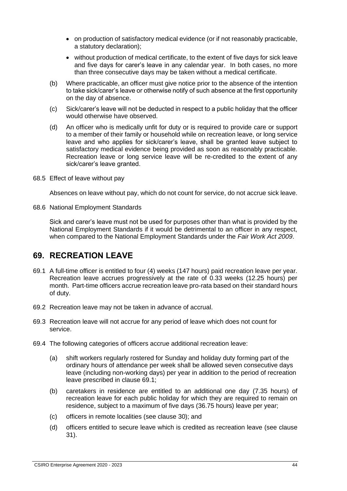- on production of satisfactory medical evidence (or if not reasonably practicable, a statutory declaration);
- without production of medical certificate, to the extent of five days for sick leave and five days for carer's leave in any calendar year. In both cases, no more than three consecutive days may be taken without a medical certificate.
- (b) Where practicable, an officer must give notice prior to the absence of the intention to take sick/carer's leave or otherwise notify of such absence at the first opportunity on the day of absence.
- (c) Sick/carer's leave will not be deducted in respect to a public holiday that the officer would otherwise have observed.
- (d) An officer who is medically unfit for duty or is required to provide care or support to a member of their family or household while on recreation leave, or long service leave and who applies for sick/carer's leave, shall be granted leave subject to satisfactory medical evidence being provided as soon as reasonably practicable. Recreation leave or long service leave will be re-credited to the extent of any sick/carer's leave granted.
- 68.5 Effect of leave without pay

Absences on leave without pay, which do not count for service, do not accrue sick leave.

68.6 National Employment Standards

Sick and carer's leave must not be used for purposes other than what is provided by the National Employment Standards if it would be detrimental to an officer in any respect, when compared to the National Employment Standards under the *Fair Work Act 2009*.

### **69. RECREATION LEAVE**

- 69.1 A full-time officer is entitled to four (4) weeks (147 hours) paid recreation leave per year. Recreation leave accrues progressively at the rate of 0.33 weeks (12.25 hours) per month. Part-time officers accrue recreation leave pro-rata based on their standard hours of duty.
- 69.2 Recreation leave may not be taken in advance of accrual.
- 69.3 Recreation leave will not accrue for any period of leave which does not count for service.
- 69.4 The following categories of officers accrue additional recreation leave:
	- (a) shift workers regularly rostered for Sunday and holiday duty forming part of the ordinary hours of attendance per week shall be allowed seven consecutive days leave (including non-working days) per year in addition to the period of recreation leave prescribed in clause 69.1;
	- (b) caretakers in residence are entitled to an additional one day (7.35 hours) of recreation leave for each public holiday for which they are required to remain on residence, subject to a maximum of five days (36.75 hours) leave per year;
	- (c) officers in remote localities (see clause 30); and
	- (d) officers entitled to secure leave which is credited as recreation leave (see clause 31).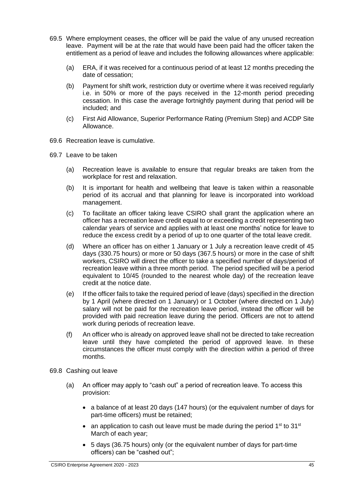- 69.5 Where employment ceases, the officer will be paid the value of any unused recreation leave. Payment will be at the rate that would have been paid had the officer taken the entitlement as a period of leave and includes the following allowances where applicable:
	- (a) ERA, if it was received for a continuous period of at least 12 months preceding the date of cessation;
	- (b) Payment for shift work, restriction duty or overtime where it was received regularly i.e. in 50% or more of the pays received in the 12-month period preceding cessation. In this case the average fortnightly payment during that period will be included; and
	- (c) First Aid Allowance, Superior Performance Rating (Premium Step) and ACDP Site Allowance.
- 69.6 Recreation leave is cumulative.
- 69.7 Leave to be taken
	- (a) Recreation leave is available to ensure that regular breaks are taken from the workplace for rest and relaxation.
	- (b) It is important for health and wellbeing that leave is taken within a reasonable period of its accrual and that planning for leave is incorporated into workload management.
	- (c) To facilitate an officer taking leave CSIRO shall grant the application where an officer has a recreation leave credit equal to or exceeding a credit representing two calendar years of service and applies with at least one months' notice for leave to reduce the excess credit by a period of up to one quarter of the total leave credit.
	- (d) Where an officer has on either 1 January or 1 July a recreation leave credit of 45 days (330.75 hours) or more or 50 days (367.5 hours) or more in the case of shift workers, CSIRO will direct the officer to take a specified number of days/period of recreation leave within a three month period. The period specified will be a period equivalent to 10/45 (rounded to the nearest whole day) of the recreation leave credit at the notice date.
	- (e) If the officer fails to take the required period of leave (days) specified in the direction by 1 April (where directed on 1 January) or 1 October (where directed on 1 July) salary will not be paid for the recreation leave period, instead the officer will be provided with paid recreation leave during the period. Officers are not to attend work during periods of recreation leave.
	- (f) An officer who is already on approved leave shall not be directed to take recreation leave until they have completed the period of approved leave. In these circumstances the officer must comply with the direction within a period of three months.
- 69.8 Cashing out leave
	- (a) An officer may apply to "cash out" a period of recreation leave. To access this provision:
		- a balance of at least 20 days (147 hours) (or the equivalent number of days for part-time officers) must be retained;
		- an application to cash out leave must be made during the period  $1<sup>st</sup>$  to  $31<sup>st</sup>$ March of each year;
		- 5 days (36.75 hours) only (or the equivalent number of days for part-time officers) can be "cashed out";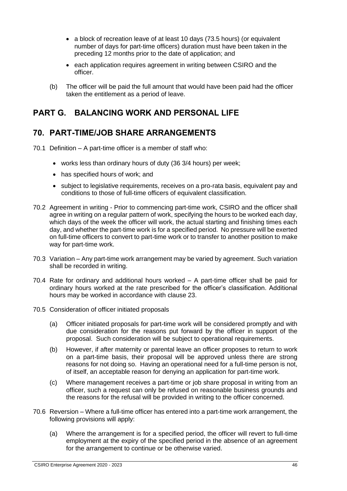- a block of recreation leave of at least 10 days (73.5 hours) (or equivalent number of days for part-time officers) duration must have been taken in the preceding 12 months prior to the date of application; and
- each application requires agreement in writing between CSIRO and the officer.
- (b) The officer will be paid the full amount that would have been paid had the officer taken the entitlement as a period of leave.

## **PART G. BALANCING WORK AND PERSONAL LIFE**

## **70. PART-TIME/JOB SHARE ARRANGEMENTS**

- 70.1 Definition A part-time officer is a member of staff who:
	- works less than ordinary hours of duty (36 3/4 hours) per week;
	- has specified hours of work; and
	- subject to legislative requirements, receives on a pro-rata basis, equivalent pay and conditions to those of full-time officers of equivalent classification.
- 70.2 Agreement in writing Prior to commencing part-time work, CSIRO and the officer shall agree in writing on a regular pattern of work, specifying the hours to be worked each day, which days of the week the officer will work, the actual starting and finishing times each day, and whether the part-time work is for a specified period. No pressure will be exerted on full-time officers to convert to part-time work or to transfer to another position to make way for part-time work.
- 70.3 Variation Any part-time work arrangement may be varied by agreement. Such variation shall be recorded in writing.
- 70.4 Rate for ordinary and additional hours worked A part-time officer shall be paid for ordinary hours worked at the rate prescribed for the officer's classification. Additional hours may be worked in accordance with clause 23.
- 70.5 Consideration of officer initiated proposals
	- (a) Officer initiated proposals for part-time work will be considered promptly and with due consideration for the reasons put forward by the officer in support of the proposal. Such consideration will be subject to operational requirements.
	- (b) However, if after maternity or parental leave an officer proposes to return to work on a part-time basis, their proposal will be approved unless there are strong reasons for not doing so. Having an operational need for a full-time person is not, of itself, an acceptable reason for denying an application for part-time work.
	- (c) Where management receives a part-time or job share proposal in writing from an officer, such a request can only be refused on reasonable business grounds and the reasons for the refusal will be provided in writing to the officer concerned.
- 70.6 Reversion Where a full-time officer has entered into a part-time work arrangement, the following provisions will apply:
	- (a) Where the arrangement is for a specified period, the officer will revert to full-time employment at the expiry of the specified period in the absence of an agreement for the arrangement to continue or be otherwise varied.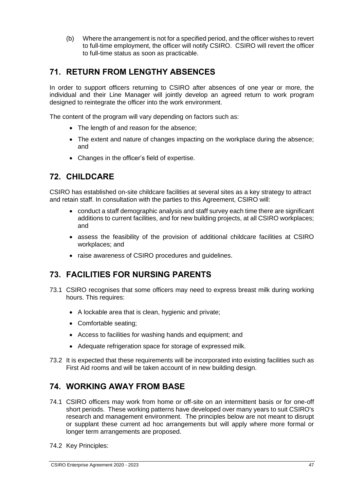(b) Where the arrangement is not for a specified period, and the officer wishes to revert to full-time employment, the officer will notify CSIRO. CSIRO will revert the officer to full-time status as soon as practicable.

# **71. RETURN FROM LENGTHY ABSENCES**

In order to support officers returning to CSIRO after absences of one year or more, the individual and their Line Manager will jointly develop an agreed return to work program designed to reintegrate the officer into the work environment.

The content of the program will vary depending on factors such as:

- The length of and reason for the absence;
- The extent and nature of changes impacting on the workplace during the absence; and
- Changes in the officer's field of expertise.

## **72. CHILDCARE**

CSIRO has established on-site childcare facilities at several sites as a key strategy to attract and retain staff. In consultation with the parties to this Agreement, CSIRO will:

- conduct a staff demographic analysis and staff survey each time there are significant additions to current facilities, and for new building projects, at all CSIRO workplaces; and
- assess the feasibility of the provision of additional childcare facilities at CSIRO workplaces; and
- raise awareness of CSIRO procedures and guidelines.

## **73. FACILITIES FOR NURSING PARENTS**

- 73.1 CSIRO recognises that some officers may need to express breast milk during working hours. This requires:
	- A lockable area that is clean, hygienic and private;
	- Comfortable seating;
	- Access to facilities for washing hands and equipment; and
	- Adequate refrigeration space for storage of expressed milk.
- 73.2 It is expected that these requirements will be incorporated into existing facilities such as First Aid rooms and will be taken account of in new building design.

# **74. WORKING AWAY FROM BASE**

- 74.1 CSIRO officers may work from home or off-site on an intermittent basis or for one-off short periods. These working patterns have developed over many years to suit CSIRO's research and management environment. The principles below are not meant to disrupt or supplant these current ad hoc arrangements but will apply where more formal or longer term arrangements are proposed.
- 74.2 Key Principles: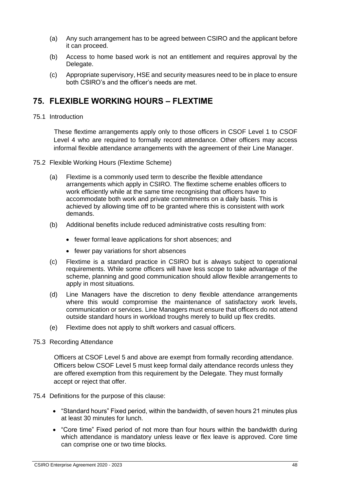- (a) Any such arrangement has to be agreed between CSIRO and the applicant before it can proceed.
- (b) Access to home based work is not an entitlement and requires approval by the Delegate.
- (c) Appropriate supervisory, HSE and security measures need to be in place to ensure both CSIRO's and the officer's needs are met.

## **75. FLEXIBLE WORKING HOURS – FLEXTIME**

#### 75.1 Introduction

These flextime arrangements apply only to those officers in CSOF Level 1 to CSOF Level 4 who are required to formally record attendance. Other officers may access informal flexible attendance arrangements with the agreement of their Line Manager.

- 75.2 Flexible Working Hours (Flextime Scheme)
	- (a) Flextime is a commonly used term to describe the flexible attendance arrangements which apply in CSIRO. The flextime scheme enables officers to work efficiently while at the same time recognising that officers have to accommodate both work and private commitments on a daily basis. This is achieved by allowing time off to be granted where this is consistent with work demands.
	- (b) Additional benefits include reduced administrative costs resulting from:
		- fewer formal leave applications for short absences; and
		- fewer pay variations for short absences
	- (c) Flextime is a standard practice in CSIRO but is always subject to operational requirements. While some officers will have less scope to take advantage of the scheme, planning and good communication should allow flexible arrangements to apply in most situations.
	- (d) Line Managers have the discretion to deny flexible attendance arrangements where this would compromise the maintenance of satisfactory work levels, communication or services. Line Managers must ensure that officers do not attend outside standard hours in workload troughs merely to build up flex credits.
	- (e) Flextime does not apply to shift workers and casual officers.

#### 75.3 Recording Attendance

Officers at CSOF Level 5 and above are exempt from formally recording attendance. Officers below CSOF Level 5 must keep formal daily attendance records unless they are offered exemption from this requirement by the Delegate. They must formally accept or reject that offer.

#### 75.4 Definitions for the purpose of this clause:

- "Standard hours" Fixed period, within the bandwidth, of seven hours 21 minutes plus at least 30 minutes for lunch.
- "Core time" Fixed period of not more than four hours within the bandwidth during which attendance is mandatory unless leave or flex leave is approved. Core time can comprise one or two time blocks.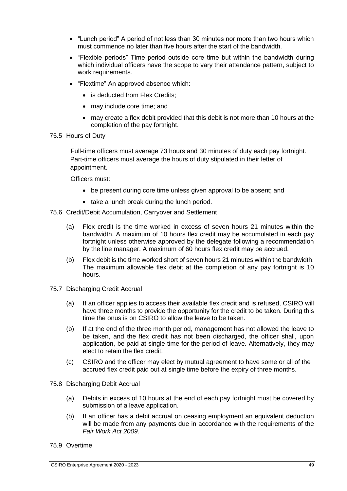- "Lunch period" A period of not less than 30 minutes nor more than two hours which must commence no later than five hours after the start of the bandwidth.
- "Flexible periods" Time period outside core time but within the bandwidth during which individual officers have the scope to vary their attendance pattern, subject to work requirements.
- "Flextime" An approved absence which:
	- is deducted from Flex Credits:
	- may include core time; and
	- may create a flex debit provided that this debit is not more than 10 hours at the completion of the pay fortnight.
- 75.5 Hours of Duty

Full-time officers must average 73 hours and 30 minutes of duty each pay fortnight. Part-time officers must average the hours of duty stipulated in their letter of appointment.

Officers must:

- be present during core time unless given approval to be absent; and
- take a lunch break during the lunch period.
- 75.6 Credit/Debit Accumulation, Carryover and Settlement
	- (a) Flex credit is the time worked in excess of seven hours 21 minutes within the bandwidth. A maximum of 10 hours flex credit may be accumulated in each pay fortnight unless otherwise approved by the delegate following a recommendation by the line manager. A maximum of 60 hours flex credit may be accrued.
	- (b) Flex debit is the time worked short of seven hours 21 minutes within the bandwidth. The maximum allowable flex debit at the completion of any pay fortnight is 10 hours.
- 75.7 Discharging Credit Accrual
	- (a) If an officer applies to access their available flex credit and is refused, CSIRO will have three months to provide the opportunity for the credit to be taken. During this time the onus is on CSIRO to allow the leave to be taken.
	- (b) If at the end of the three month period, management has not allowed the leave to be taken, and the flex credit has not been discharged, the officer shall, upon application, be paid at single time for the period of leave. Alternatively, they may elect to retain the flex credit.
	- (c) CSIRO and the officer may elect by mutual agreement to have some or all of the accrued flex credit paid out at single time before the expiry of three months.
- 75.8 Discharging Debit Accrual
	- (a) Debits in excess of 10 hours at the end of each pay fortnight must be covered by submission of a leave application.
	- (b) If an officer has a debit accrual on ceasing employment an equivalent deduction will be made from any payments due in accordance with the requirements of the *Fair Work Act 2009*.
- 75.9 Overtime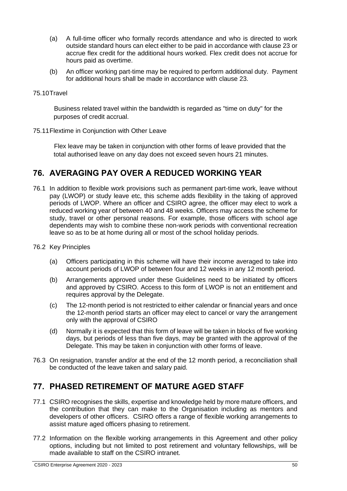- (a) A full-time officer who formally records attendance and who is directed to work outside standard hours can elect either to be paid in accordance with clause 23 or accrue flex credit for the additional hours worked. Flex credit does not accrue for hours paid as overtime.
- (b) An officer working part-time may be required to perform additional duty. Payment for additional hours shall be made in accordance with clause 23.

#### 75.10Travel

Business related travel within the bandwidth is regarded as "time on duty" for the purposes of credit accrual.

75.11Flextime in Conjunction with Other Leave

Flex leave may be taken in conjunction with other forms of leave provided that the total authorised leave on any day does not exceed seven hours 21 minutes.

## **76. AVERAGING PAY OVER A REDUCED WORKING YEAR**

- 76.1 In addition to flexible work provisions such as permanent part-time work, leave without pay (LWOP) or study leave etc, this scheme adds flexibility in the taking of approved periods of LWOP. Where an officer and CSIRO agree, the officer may elect to work a reduced working year of between 40 and 48 weeks. Officers may access the scheme for study, travel or other personal reasons. For example, those officers with school age dependents may wish to combine these non-work periods with conventional recreation leave so as to be at home during all or most of the school holiday periods.
- 76.2 Key Principles
	- (a) Officers participating in this scheme will have their income averaged to take into account periods of LWOP of between four and 12 weeks in any 12 month period.
	- (b) Arrangements approved under these Guidelines need to be initiated by officers and approved by CSIRO. Access to this form of LWOP is not an entitlement and requires approval by the Delegate.
	- (c) The 12-month period is not restricted to either calendar or financial years and once the 12-month period starts an officer may elect to cancel or vary the arrangement only with the approval of CSIRO
	- (d) Normally it is expected that this form of leave will be taken in blocks of five working days, but periods of less than five days, may be granted with the approval of the Delegate. This may be taken in conjunction with other forms of leave.
- 76.3 On resignation, transfer and/or at the end of the 12 month period, a reconciliation shall be conducted of the leave taken and salary paid.

## **77. PHASED RETIREMENT OF MATURE AGED STAFF**

- 77.1 CSIRO recognises the skills, expertise and knowledge held by more mature officers, and the contribution that they can make to the Organisation including as mentors and developers of other officers. CSIRO offers a range of flexible working arrangements to assist mature aged officers phasing to retirement.
- 77.2 Information on the flexible working arrangements in this Agreement and other policy options, including but not limited to post retirement and voluntary fellowships, will be made available to staff on the CSIRO intranet.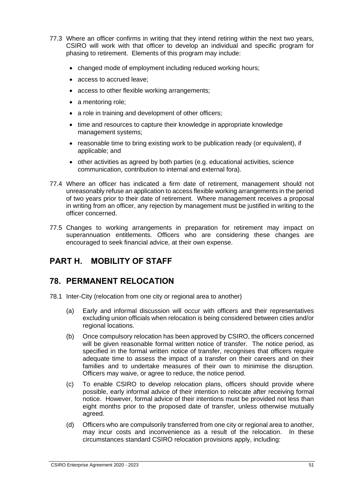- 77.3 Where an officer confirms in writing that they intend retiring within the next two years, CSIRO will work with that officer to develop an individual and specific program for phasing to retirement. Elements of this program may include:
	- changed mode of employment including reduced working hours;
	- access to accrued leave;
	- access to other flexible working arrangements;
	- a mentoring role;
	- a role in training and development of other officers;
	- time and resources to capture their knowledge in appropriate knowledge management systems;
	- reasonable time to bring existing work to be publication ready (or equivalent), if applicable; and
	- other activities as agreed by both parties (e.g. educational activities, science communication, contribution to internal and external fora).
- 77.4 Where an officer has indicated a firm date of retirement, management should not unreasonably refuse an application to access flexible working arrangements in the period of two years prior to their date of retirement. Where management receives a proposal in writing from an officer, any rejection by management must be justified in writing to the officer concerned.
- 77.5 Changes to working arrangements in preparation for retirement may impact on superannuation entitlements. Officers who are considering these changes are encouraged to seek financial advice, at their own expense.

# **PART H. MOBILITY OF STAFF**

### **78. PERMANENT RELOCATION**

- 78.1 Inter-City (relocation from one city or regional area to another)
	- (a) Early and informal discussion will occur with officers and their representatives excluding union officials when relocation is being considered between cities and/or regional locations.
	- (b) Once compulsory relocation has been approved by CSIRO, the officers concerned will be given reasonable formal written notice of transfer. The notice period, as specified in the formal written notice of transfer, recognises that officers require adequate time to assess the impact of a transfer on their careers and on their families and to undertake measures of their own to minimise the disruption. Officers may waive, or agree to reduce, the notice period.
	- (c) To enable CSIRO to develop relocation plans, officers should provide where possible, early informal advice of their intention to relocate after receiving formal notice. However, formal advice of their intentions must be provided not less than eight months prior to the proposed date of transfer, unless otherwise mutually agreed.
	- (d) Officers who are compulsorily transferred from one city or regional area to another, may incur costs and inconvenience as a result of the relocation. In these circumstances standard CSIRO relocation provisions apply, including: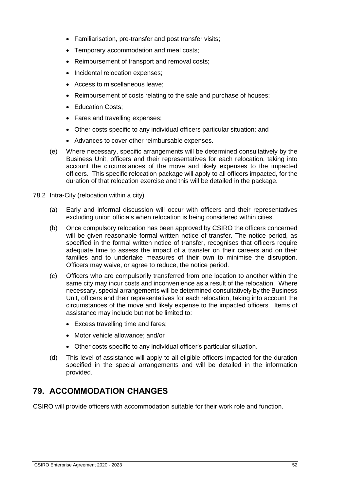- Familiarisation, pre-transfer and post transfer visits;
- Temporary accommodation and meal costs;
- Reimbursement of transport and removal costs;
- Incidental relocation expenses;
- Access to miscellaneous leave;
- Reimbursement of costs relating to the sale and purchase of houses;
- **Education Costs**;
- Fares and travelling expenses;
- Other costs specific to any individual officers particular situation; and
- Advances to cover other reimbursable expenses.
- (e) Where necessary, specific arrangements will be determined consultatively by the Business Unit, officers and their representatives for each relocation, taking into account the circumstances of the move and likely expenses to the impacted officers. This specific relocation package will apply to all officers impacted, for the duration of that relocation exercise and this will be detailed in the package.
- 78.2 Intra-City (relocation within a city)
	- (a) Early and informal discussion will occur with officers and their representatives excluding union officials when relocation is being considered within cities.
	- (b) Once compulsory relocation has been approved by CSIRO the officers concerned will be given reasonable formal written notice of transfer. The notice period, as specified in the formal written notice of transfer, recognises that officers require adequate time to assess the impact of a transfer on their careers and on their families and to undertake measures of their own to minimise the disruption. Officers may waive, or agree to reduce, the notice period.
	- (c) Officers who are compulsorily transferred from one location to another within the same city may incur costs and inconvenience as a result of the relocation. Where necessary, special arrangements will be determined consultatively by the Business Unit, officers and their representatives for each relocation, taking into account the circumstances of the move and likely expense to the impacted officers. Items of assistance may include but not be limited to:
		- Excess travelling time and fares;
		- Motor vehicle allowance; and/or
		- Other costs specific to any individual officer's particular situation.
	- (d) This level of assistance will apply to all eligible officers impacted for the duration specified in the special arrangements and will be detailed in the information provided.

## **79. ACCOMMODATION CHANGES**

CSIRO will provide officers with accommodation suitable for their work role and function.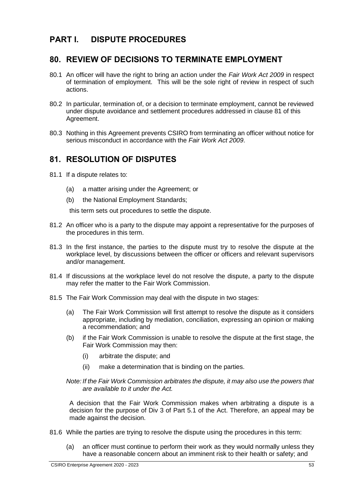## **PART I. DISPUTE PROCEDURES**

### **80. REVIEW OF DECISIONS TO TERMINATE EMPLOYMENT**

- 80.1 An officer will have the right to bring an action under the *Fair Work Act 2009* in respect of termination of employment. This will be the sole right of review in respect of such actions.
- 80.2 In particular, termination of, or a decision to terminate employment, cannot be reviewed under dispute avoidance and settlement procedures addressed in clause 81 of this Agreement.
- 80.3 Nothing in this Agreement prevents CSIRO from terminating an officer without notice for serious misconduct in accordance with the *Fair Work Act 2009*.

## **81. RESOLUTION OF DISPUTES**

- 81.1 If a dispute relates to:
	- (a) a matter arising under the Agreement; or
	- (b) the National Employment Standards;

this term sets out procedures to settle the dispute.

- 81.2 An officer who is a party to the dispute may appoint a representative for the purposes of the procedures in this term.
- 81.3 In the first instance, the parties to the dispute must try to resolve the dispute at the workplace level, by discussions between the officer or officers and relevant supervisors and/or management.
- 81.4 If discussions at the workplace level do not resolve the dispute, a party to the dispute may refer the matter to the Fair Work Commission.
- 81.5 The Fair Work Commission may deal with the dispute in two stages:
	- (a) The Fair Work Commission will first attempt to resolve the dispute as it considers appropriate, including by mediation, conciliation, expressing an opinion or making a recommendation; and
	- (b) if the Fair Work Commission is unable to resolve the dispute at the first stage, the Fair Work Commission may then:
		- (i) arbitrate the dispute; and
		- (ii) make a determination that is binding on the parties.

*Note: If the Fair Work Commission arbitrates the dispute, it may also use the powers that are available to it under the Act.* 

A decision that the Fair Work Commission makes when arbitrating a dispute is a decision for the purpose of Div 3 of Part 5.1 of the Act. Therefore, an appeal may be made against the decision.

- 81.6 While the parties are trying to resolve the dispute using the procedures in this term:
	- (a) an officer must continue to perform their work as they would normally unless they have a reasonable concern about an imminent risk to their health or safety; and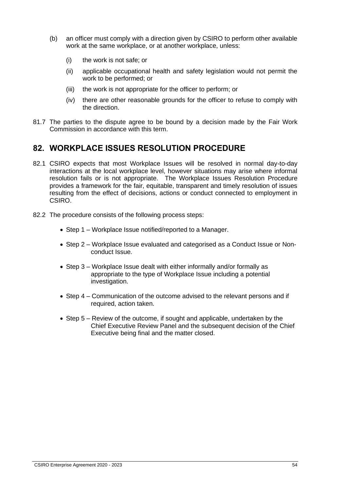- (b) an officer must comply with a direction given by CSIRO to perform other available work at the same workplace, or at another workplace, unless:
	- (i) the work is not safe; or
	- (ii) applicable occupational health and safety legislation would not permit the work to be performed; or
	- (iii) the work is not appropriate for the officer to perform; or
	- (iv) there are other reasonable grounds for the officer to refuse to comply with the direction.
- 81.7 The parties to the dispute agree to be bound by a decision made by the Fair Work Commission in accordance with this term.

## **82. WORKPLACE ISSUES RESOLUTION PROCEDURE**

- 82.1 CSIRO expects that most Workplace Issues will be resolved in normal day-to-day interactions at the local workplace level, however situations may arise where informal resolution fails or is not appropriate. The Workplace Issues Resolution Procedure provides a framework for the fair, equitable, transparent and timely resolution of issues resulting from the effect of decisions, actions or conduct connected to employment in CSIRO.
- 82.2 The procedure consists of the following process steps:
	- Step 1 Workplace Issue notified/reported to a Manager.
	- Step 2 Workplace Issue evaluated and categorised as a Conduct Issue or Nonconduct Issue.
	- Step 3 Workplace Issue dealt with either informally and/or formally as appropriate to the type of Workplace Issue including a potential investigation.
	- Step 4 Communication of the outcome advised to the relevant persons and if required, action taken.
	- Step 5 Review of the outcome, if sought and applicable, undertaken by the Chief Executive Review Panel and the subsequent decision of the Chief Executive being final and the matter closed.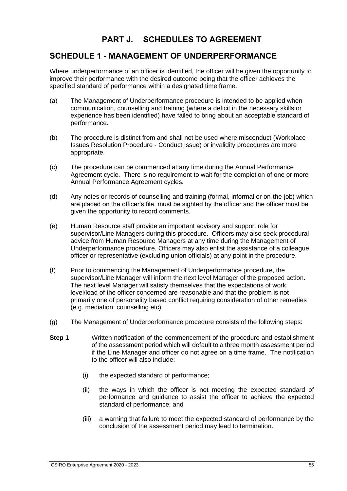## **PART J. SCHEDULES TO AGREEMENT**

## **SCHEDULE 1 - MANAGEMENT OF UNDERPERFORMANCE**

Where underperformance of an officer is identified, the officer will be given the opportunity to improve their performance with the desired outcome being that the officer achieves the specified standard of performance within a designated time frame.

- (a) The Management of Underperformance procedure is intended to be applied when communication, counselling and training (where a deficit in the necessary skills or experience has been identified) have failed to bring about an acceptable standard of performance.
- (b) The procedure is distinct from and shall not be used where misconduct (Workplace Issues Resolution Procedure - Conduct Issue) or invalidity procedures are more appropriate.
- (c) The procedure can be commenced at any time during the Annual Performance Agreement cycle. There is no requirement to wait for the completion of one or more Annual Performance Agreement cycles.
- (d) Any notes or records of counselling and training (formal, informal or on-the-job) which are placed on the officer's file, must be sighted by the officer and the officer must be given the opportunity to record comments.
- (e) Human Resource staff provide an important advisory and support role for supervisor/Line Managers during this procedure. Officers may also seek procedural advice from Human Resource Managers at any time during the Management of Underperformance procedure. Officers may also enlist the assistance of a colleague officer or representative (excluding union officials) at any point in the procedure.
- (f) Prior to commencing the Management of Underperformance procedure, the supervisor/Line Manager will inform the next level Manager of the proposed action. The next level Manager will satisfy themselves that the expectations of work level/load of the officer concerned are reasonable and that the problem is not primarily one of personality based conflict requiring consideration of other remedies (e.g. mediation, counselling etc).
- (g) The Management of Underperformance procedure consists of the following steps:
- **Step 1** Written notification of the commencement of the procedure and establishment of the assessment period which will default to a three month assessment period if the Line Manager and officer do not agree on a time frame. The notification to the officer will also include:
	- (i) the expected standard of performance;
	- (ii) the ways in which the officer is not meeting the expected standard of performance and guidance to assist the officer to achieve the expected standard of performance; and
	- (iii) a warning that failure to meet the expected standard of performance by the conclusion of the assessment period may lead to termination.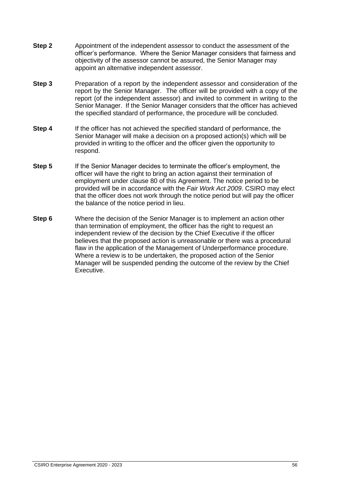- **Step 2** Appointment of the independent assessor to conduct the assessment of the officer's performance. Where the Senior Manager considers that fairness and objectivity of the assessor cannot be assured, the Senior Manager may appoint an alternative independent assessor.
- **Step 3** Preparation of a report by the independent assessor and consideration of the report by the Senior Manager. The officer will be provided with a copy of the report (of the independent assessor) and invited to comment in writing to the Senior Manager. If the Senior Manager considers that the officer has achieved the specified standard of performance, the procedure will be concluded.
- **Step 4** If the officer has not achieved the specified standard of performance, the Senior Manager will make a decision on a proposed action(s) which will be provided in writing to the officer and the officer given the opportunity to respond.
- **Step 5** If the Senior Manager decides to terminate the officer's employment, the officer will have the right to bring an action against their termination of employment under clause 80 of this Agreement. The notice period to be provided will be in accordance with the *Fair Work Act 2009*. CSIRO may elect that the officer does not work through the notice period but will pay the officer the balance of the notice period in lieu.
- **Step 6** Where the decision of the Senior Manager is to implement an action other than termination of employment, the officer has the right to request an independent review of the decision by the Chief Executive if the officer believes that the proposed action is unreasonable or there was a procedural flaw in the application of the Management of Underperformance procedure. Where a review is to be undertaken, the proposed action of the Senior Manager will be suspended pending the outcome of the review by the Chief Executive.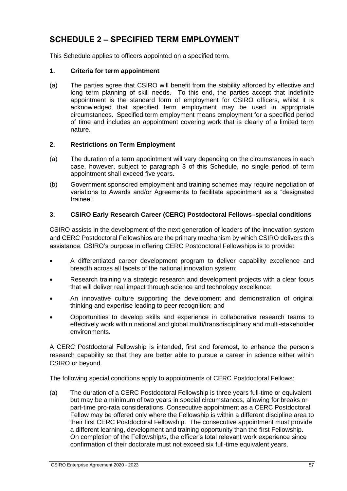# **SCHEDULE 2 – SPECIFIED TERM EMPLOYMENT**

This Schedule applies to officers appointed on a specified term.

### **1. Criteria for term appointment**

(a) The parties agree that CSIRO will benefit from the stability afforded by effective and long term planning of skill needs. To this end, the parties accept that indefinite appointment is the standard form of employment for CSIRO officers, whilst it is acknowledged that specified term employment may be used in appropriate circumstances. Specified term employment means employment for a specified period of time and includes an appointment covering work that is clearly of a limited term nature.

### **2. Restrictions on Term Employment**

- (a) The duration of a term appointment will vary depending on the circumstances in each case, however, subject to paragraph 3 of this Schedule, no single period of term appointment shall exceed five years.
- (b) Government sponsored employment and training schemes may require negotiation of variations to Awards and/or Agreements to facilitate appointment as a "designated trainee".

### **3. CSIRO Early Research Career (CERC) Postdoctoral Fellows–special conditions**

CSIRO assists in the development of the next generation of leaders of the innovation system and CERC Postdoctoral Fellowships are the primary mechanism by which CSIRO delivers this assistance. CSIRO's purpose in offering CERC Postdoctoral Fellowships is to provide:

- A differentiated career development program to deliver capability excellence and breadth across all facets of the national innovation system;
- Research training via strategic research and development projects with a clear focus that will deliver real impact through science and technology excellence;
- An innovative culture supporting the development and demonstration of original thinking and expertise leading to peer recognition; and
- Opportunities to develop skills and experience in collaborative research teams to effectively work within national and global multi/transdisciplinary and multi-stakeholder environments.

A CERC Postdoctoral Fellowship is intended, first and foremost, to enhance the person's research capability so that they are better able to pursue a career in science either within CSIRO or beyond.

The following special conditions apply to appointments of CERC Postdoctoral Fellows:

(a) The duration of a CERC Postdoctoral Fellowship is three years full-time or equivalent but may be a minimum of two years in special circumstances, allowing for breaks or part-time pro-rata considerations. Consecutive appointment as a CERC Postdoctoral Fellow may be offered only where the Fellowship is within a different discipline area to their first CERC Postdoctoral Fellowship. The consecutive appointment must provide a different learning, development and training opportunity than the first Fellowship. On completion of the Fellowship/s, the officer's total relevant work experience since confirmation of their doctorate must not exceed six full-time equivalent years.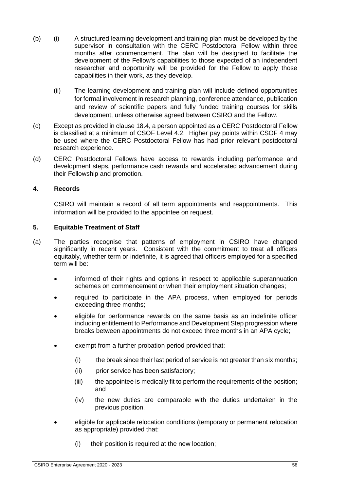- (b) (i) A structured learning development and training plan must be developed by the supervisor in consultation with the CERC Postdoctoral Fellow within three months after commencement. The plan will be designed to facilitate the development of the Fellow's capabilities to those expected of an independent researcher and opportunity will be provided for the Fellow to apply those capabilities in their work, as they develop.
	- (ii) The learning development and training plan will include defined opportunities for formal involvement in research planning, conference attendance, publication and review of scientific papers and fully funded training courses for skills development, unless otherwise agreed between CSIRO and the Fellow.
- (c) Except as provided in clause 18.4, a person appointed as a CERC Postdoctoral Fellow is classified at a minimum of CSOF Level 4.2. Higher pay points within CSOF 4 may be used where the CERC Postdoctoral Fellow has had prior relevant postdoctoral research experience.
- (d) CERC Postdoctoral Fellows have access to rewards including performance and development steps, performance cash rewards and accelerated advancement during their Fellowship and promotion.

#### **4. Records**

CSIRO will maintain a record of all term appointments and reappointments. This information will be provided to the appointee on request.

#### **5. Equitable Treatment of Staff**

- (a) The parties recognise that patterns of employment in CSIRO have changed significantly in recent years. Consistent with the commitment to treat all officers equitably, whether term or indefinite, it is agreed that officers employed for a specified term will be:
	- informed of their rights and options in respect to applicable superannuation schemes on commencement or when their employment situation changes;
	- required to participate in the APA process, when employed for periods exceeding three months;
	- eligible for performance rewards on the same basis as an indefinite officer including entitlement to Performance and Development Step progression where breaks between appointments do not exceed three months in an APA cycle;
	- exempt from a further probation period provided that:
		- (i) the break since their last period of service is not greater than six months;
		- (ii) prior service has been satisfactory;
		- (iii) the appointee is medically fit to perform the requirements of the position; and
		- (iv) the new duties are comparable with the duties undertaken in the previous position.
	- eligible for applicable relocation conditions (temporary or permanent relocation as appropriate) provided that:
		- (i) their position is required at the new location;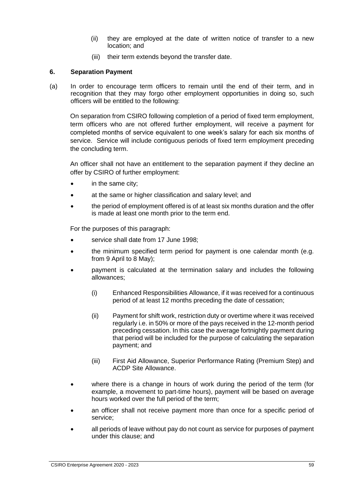- (ii) they are employed at the date of written notice of transfer to a new location; and
- (iii) their term extends beyond the transfer date.

### **6. Separation Payment**

(a) In order to encourage term officers to remain until the end of their term, and in recognition that they may forgo other employment opportunities in doing so, such officers will be entitled to the following:

On separation from CSIRO following completion of a period of fixed term employment, term officers who are not offered further employment, will receive a payment for completed months of service equivalent to one week's salary for each six months of service. Service will include contiguous periods of fixed term employment preceding the concluding term.

An officer shall not have an entitlement to the separation payment if they decline an offer by CSIRO of further employment:

- in the same city;
- at the same or higher classification and salary level; and
- the period of employment offered is of at least six months duration and the offer is made at least one month prior to the term end.

For the purposes of this paragraph:

- service shall date from 17 June 1998:
- the minimum specified term period for payment is one calendar month (e.g. from 9 April to 8 May);
- payment is calculated at the termination salary and includes the following allowances;
	- (i) Enhanced Responsibilities Allowance, if it was received for a continuous period of at least 12 months preceding the date of cessation;
	- (ii) Payment for shift work, restriction duty or overtime where it was received regularly i.e. in 50% or more of the pays received in the 12-month period preceding cessation. In this case the average fortnightly payment during that period will be included for the purpose of calculating the separation payment; and
	- (iii) First Aid Allowance, Superior Performance Rating (Premium Step) and ACDP Site Allowance.
- where there is a change in hours of work during the period of the term (for example, a movement to part-time hours), payment will be based on average hours worked over the full period of the term;
- an officer shall not receive payment more than once for a specific period of service;
- all periods of leave without pay do not count as service for purposes of payment under this clause; and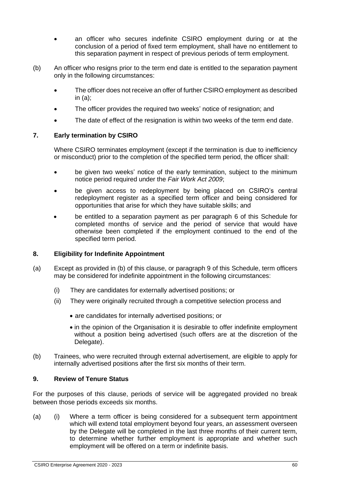- an officer who secures indefinite CSIRO employment during or at the conclusion of a period of fixed term employment, shall have no entitlement to this separation payment in respect of previous periods of term employment.
- (b) An officer who resigns prior to the term end date is entitled to the separation payment only in the following circumstances:
	- The officer does not receive an offer of further CSIRO employment as described in (a);
	- The officer provides the required two weeks' notice of resignation; and
	- The date of effect of the resignation is within two weeks of the term end date.

#### **7. Early termination by CSIRO**

Where CSIRO terminates employment (except if the termination is due to inefficiency or misconduct) prior to the completion of the specified term period, the officer shall:

- be given two weeks' notice of the early termination, subject to the minimum notice period required under the *Fair Work Act 2009*;
- be given access to redeployment by being placed on CSIRO's central redeployment register as a specified term officer and being considered for opportunities that arise for which they have suitable skills; and
- be entitled to a separation payment as per paragraph 6 of this Schedule for completed months of service and the period of service that would have otherwise been completed if the employment continued to the end of the specified term period.

#### **8. Eligibility for Indefinite Appointment**

- (a) Except as provided in (b) of this clause, or paragraph 9 of this Schedule, term officers may be considered for indefinite appointment in the following circumstances:
	- (i) They are candidates for externally advertised positions; or
	- (ii) They were originally recruited through a competitive selection process and
		- are candidates for internally advertised positions; or
		- in the opinion of the Organisation it is desirable to offer indefinite employment without a position being advertised (such offers are at the discretion of the Delegate).
- (b) Trainees, who were recruited through external advertisement, are eligible to apply for internally advertised positions after the first six months of their term.

#### **9. Review of Tenure Status**

For the purposes of this clause, periods of service will be aggregated provided no break between those periods exceeds six months.

(a) (i) Where a term officer is being considered for a subsequent term appointment which will extend total employment beyond four years, an assessment overseen by the Delegate will be completed in the last three months of their current term, to determine whether further employment is appropriate and whether such employment will be offered on a term or indefinite basis.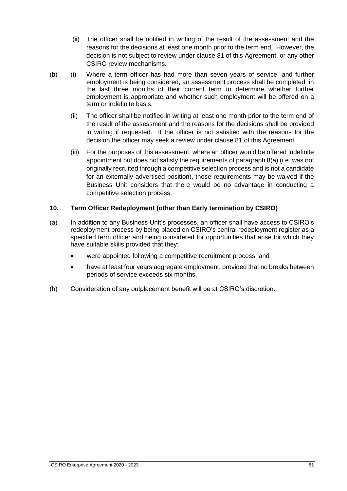- (ii) The officer shall be notified in writing of the result of the assessment and the reasons for the decisions at least one month prior to the term end. However, the decision is not subject to review under clause 81 of this Agreement, or any other CSIRO review mechanisms.
- (b) (i) Where a term officer has had more than seven years of service, and further employment is being considered, an assessment process shall be completed, in the last three months of their current term to determine whether further employment is appropriate and whether such employment will be offered on a term or indefinite basis.
	- (ii) The officer shall be notified in writing at least one month prior to the term end of the result of the assessment and the reasons for the decisions shall be provided in writing if requested. If the officer is not satisfied with the reasons for the decision the officer may seek a review under clause 81 of this Agreement.
	- (iii) For the purposes of this assessment, where an officer would be offered indefinite appointment but does not satisfy the requirements of paragraph 8(a) (i.e. was not originally recruited through a competitive selection process and is not a candidate for an externally advertised position), those requirements may be waived if the Business Unit considers that there would be no advantage in conducting a competitive selection process.

### **10. Term Officer Redeployment (other than Early termination by CSIRO)**

- (a) In addition to any Business Unit's processes, an officer shall have access to CSIRO's redeployment process by being placed on CSIRO's central redeployment register as a specified term officer and being considered for opportunities that arise for which they have suitable skills provided that they:
	- were appointed following a competitive recruitment process; and
	- have at least four years aggregate employment, provided that no breaks between periods of service exceeds six months.
- (b) Consideration of any outplacement benefit will be at CSIRO's discretion.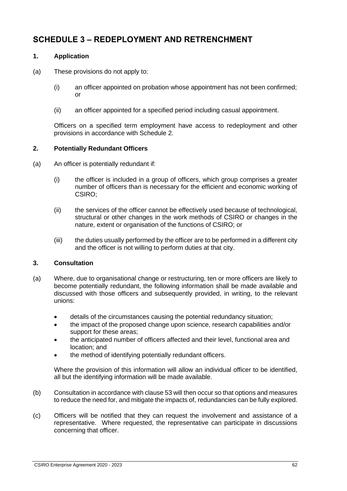## **SCHEDULE 3 – REDEPLOYMENT AND RETRENCHMENT**

### **1. Application**

- (a) These provisions do not apply to:
	- (i) an officer appointed on probation whose appointment has not been confirmed; or
	- (ii) an officer appointed for a specified period including casual appointment.

Officers on a specified term employment have access to redeployment and other provisions in accordance with Schedule 2.

### **2. Potentially Redundant Officers**

- (a) An officer is potentially redundant if:
	- (i) the officer is included in a group of officers, which group comprises a greater number of officers than is necessary for the efficient and economic working of CSIRO;
	- (ii) the services of the officer cannot be effectively used because of technological, structural or other changes in the work methods of CSIRO or changes in the nature, extent or organisation of the functions of CSIRO; or
	- (iii) the duties usually performed by the officer are to be performed in a different city and the officer is not willing to perform duties at that city.

#### **3. Consultation**

- (a) Where, due to organisational change or restructuring, ten or more officers are likely to become potentially redundant, the following information shall be made available and discussed with those officers and subsequently provided, in writing, to the relevant unions:
	- details of the circumstances causing the potential redundancy situation;
	- the impact of the proposed change upon science, research capabilities and/or support for these areas;
	- the anticipated number of officers affected and their level, functional area and location; and
	- the method of identifying potentially redundant officers.

Where the provision of this information will allow an individual officer to be identified, all but the identifying information will be made available.

- (b) Consultation in accordance with clause 53 will then occur so that options and measures to reduce the need for, and mitigate the impacts of, redundancies can be fully explored.
- (c) Officers will be notified that they can request the involvement and assistance of a representative. Where requested, the representative can participate in discussions concerning that officer.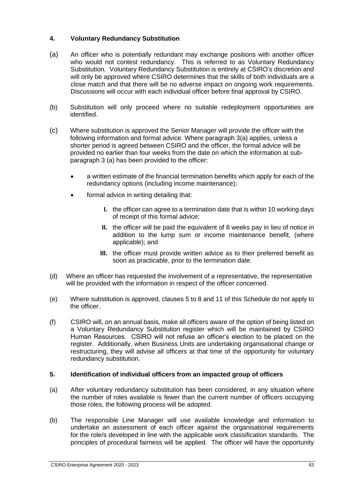### **4. Voluntary Redundancy Substitution**

- (a) An officer who is potentially redundant may exchange positions with another officer who would not contest redundancy. This is referred to as Voluntary Redundancy Substitution. Voluntary Redundancy Substitution is entirely at CSIRO's discretion and will only be approved where CSIRO determines that the skills of both individuals are a close match and that there will be no adverse impact on ongoing work requirements. Discussions will occur with each individual officer before final approval by CSIRO.
- (b) Substitution will only proceed where no suitable redeployment opportunities are identified.
- (c) Where substitution is approved the Senior Manager will provide the officer with the following information and formal advice. Where paragraph 3(a) applies, unless a shorter period is agreed between CSIRO and the officer, the formal advice will be provided no earlier than four weeks from the date on which the information at subparagraph 3 (a) has been provided to the officer:
	- a written estimate of the financial termination benefits which apply for each of the redundancy options (including income maintenance);
	- formal advice in writing detailing that:
		- **I.** the officer can agree to a termination date that is within 10 working days of receipt of this formal advice;
		- **II.** the officer will be paid the equivalent of 8 weeks pay in lieu of notice in addition to the lump sum or income maintenance benefit, (where applicable); and
		- **III.** the officer must provide written advice as to their preferred benefit as soon as practicable, prior to the termination date.
- (d) Where an officer has requested the involvement of a representative, the representative will be provided with the information in respect of the officer concerned.
- (e) Where substitution is approved, clauses 5 to 8 and 11 of this Schedule do not apply to the officer.
- (f) CSIRO will, on an annual basis, make all officers aware of the option of being listed on a Voluntary Redundancy Substitution register which will be maintained by CSIRO Human Resources. CSIRO will not refuse an officer's election to be placed on the register. Additionally, when Business Units are undertaking organisational change or restructuring, they will advise all officers at that time of the opportunity for voluntary redundancy substitution.

### **5. Identification of individual officers from an impacted group of officers**

- (a) After voluntary redundancy substitution has been considered, in any situation where the number of roles available is fewer than the current number of officers occupying those roles, the following process will be adopted.
- (b) The responsible Line Manager will use available knowledge and information to undertake an assessment of each officer against the organisational requirements for the role/s developed in line with the applicable work classification standards. The principles of procedural fairness will be applied. The officer will have the opportunity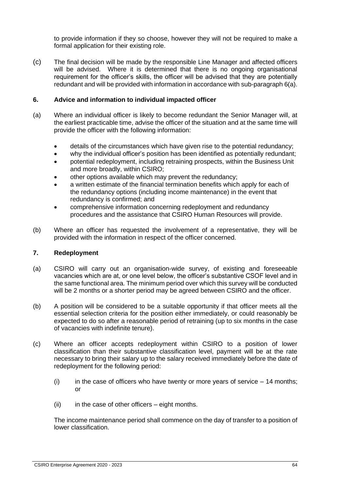to provide information if they so choose, however they will not be required to make a formal application for their existing role.

(c) The final decision will be made by the responsible Line Manager and affected officers will be advised. Where it is determined that there is no ongoing organisational requirement for the officer's skills, the officer will be advised that they are potentially redundant and will be provided with information in accordance with sub-paragraph 6(a).

#### **6. Advice and information to individual impacted officer**

- (a) Where an individual officer is likely to become redundant the Senior Manager will, at the earliest practicable time, advise the officer of the situation and at the same time will provide the officer with the following information:
	- details of the circumstances which have given rise to the potential redundancy;
	- why the individual officer's position has been identified as potentially redundant;
	- potential redeployment, including retraining prospects, within the Business Unit and more broadly, within CSIRO;
	- other options available which may prevent the redundancy;
	- a written estimate of the financial termination benefits which apply for each of the redundancy options (including income maintenance) in the event that redundancy is confirmed; and
	- comprehensive information concerning redeployment and redundancy procedures and the assistance that CSIRO Human Resources will provide.
- (b) Where an officer has requested the involvement of a representative, they will be provided with the information in respect of the officer concerned.

#### **7. Redeployment**

- (a) CSIRO will carry out an organisation-wide survey, of existing and foreseeable vacancies which are at, or one level below, the officer's substantive CSOF level and in the same functional area. The minimum period over which this survey will be conducted will be 2 months or a shorter period may be agreed between CSIRO and the officer.
- (b) A position will be considered to be a suitable opportunity if that officer meets all the essential selection criteria for the position either immediately, or could reasonably be expected to do so after a reasonable period of retraining (up to six months in the case of vacancies with indefinite tenure).
- (c) Where an officer accepts redeployment within CSIRO to a position of lower classification than their substantive classification level, payment will be at the rate necessary to bring their salary up to the salary received immediately before the date of redeployment for the following period:
	- (i) in the case of officers who have twenty or more years of service  $-14$  months; or
	- $(ii)$  in the case of other officers eight months.

The income maintenance period shall commence on the day of transfer to a position of lower classification.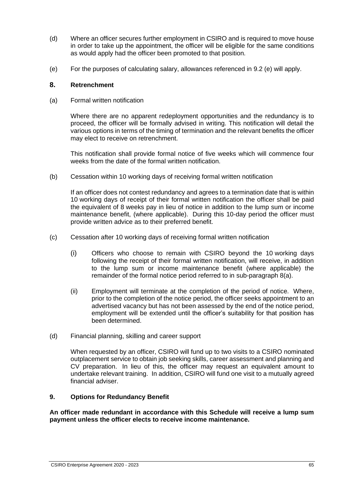- (d) Where an officer secures further employment in CSIRO and is required to move house in order to take up the appointment, the officer will be eligible for the same conditions as would apply had the officer been promoted to that position.
- (e) For the purposes of calculating salary, allowances referenced in 9.2 (e) will apply.

#### **8. Retrenchment**

(a) Formal written notification

Where there are no apparent redeployment opportunities and the redundancy is to proceed, the officer will be formally advised in writing. This notification will detail the various options in terms of the timing of termination and the relevant benefits the officer may elect to receive on retrenchment.

This notification shall provide formal notice of five weeks which will commence four weeks from the date of the formal written notification.

(b) Cessation within 10 working days of receiving formal written notification

If an officer does not contest redundancy and agrees to a termination date that is within 10 working days of receipt of their formal written notification the officer shall be paid the equivalent of 8 weeks pay in lieu of notice in addition to the lump sum or income maintenance benefit, (where applicable). During this 10-day period the officer must provide written advice as to their preferred benefit.

- (c) Cessation after 10 working days of receiving formal written notification
	- (i) Officers who choose to remain with CSIRO beyond the 10 working days following the receipt of their formal written notification, will receive, in addition to the lump sum or income maintenance benefit (where applicable) the remainder of the formal notice period referred to in sub-paragraph 8(a).
	- (ii) Employment will terminate at the completion of the period of notice. Where, prior to the completion of the notice period, the officer seeks appointment to an advertised vacancy but has not been assessed by the end of the notice period, employment will be extended until the officer's suitability for that position has been determined.
- (d) Financial planning, skilling and career support

When requested by an officer, CSIRO will fund up to two visits to a CSIRO nominated outplacement service to obtain job seeking skills, career assessment and planning and CV preparation. In lieu of this, the officer may request an equivalent amount to undertake relevant training. In addition, CSIRO will fund one visit to a mutually agreed financial adviser.

### **9. Options for Redundancy Benefit**

**An officer made redundant in accordance with this Schedule will receive a lump sum payment unless the officer elects to receive income maintenance.**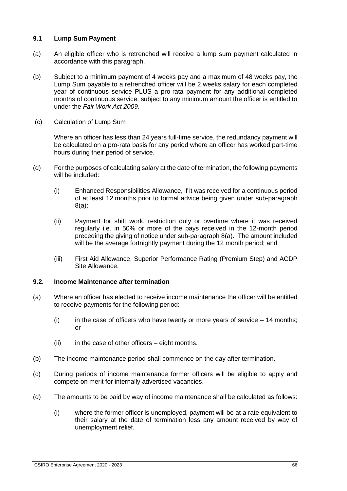#### **9.1 Lump Sum Payment**

- (a) An eligible officer who is retrenched will receive a lump sum payment calculated in accordance with this paragraph.
- (b) Subject to a minimum payment of 4 weeks pay and a maximum of 48 weeks pay, the Lump Sum payable to a retrenched officer will be 2 weeks salary for each completed year of continuous service PLUS a pro-rata payment for any additional completed months of continuous service, subject to any minimum amount the officer is entitled to under the *Fair Work Act 2009.*
- (c) Calculation of Lump Sum

Where an officer has less than 24 years full-time service, the redundancy payment will be calculated on a pro-rata basis for any period where an officer has worked part-time hours during their period of service.

- (d) For the purposes of calculating salary at the date of termination, the following payments will be included:
	- (i) Enhanced Responsibilities Allowance, if it was received for a continuous period of at least 12 months prior to formal advice being given under sub-paragraph 8(a);
	- (ii) Payment for shift work, restriction duty or overtime where it was received regularly i.e. in 50% or more of the pays received in the 12-month period preceding the giving of notice under sub-paragraph 8(a). The amount included will be the average fortnightly payment during the 12 month period; and
	- (iii) First Aid Allowance, Superior Performance Rating (Premium Step) and ACDP Site Allowance.

#### **9.2. Income Maintenance after termination**

- (a) Where an officer has elected to receive income maintenance the officer will be entitled to receive payments for the following period:
	- (i) in the case of officers who have twenty or more years of service  $-14$  months; or
	- $(ii)$  in the case of other officers eight months.
- (b) The income maintenance period shall commence on the day after termination.
- (c) During periods of income maintenance former officers will be eligible to apply and compete on merit for internally advertised vacancies.
- (d) The amounts to be paid by way of income maintenance shall be calculated as follows:
	- (i) where the former officer is unemployed, payment will be at a rate equivalent to their salary at the date of termination less any amount received by way of unemployment relief.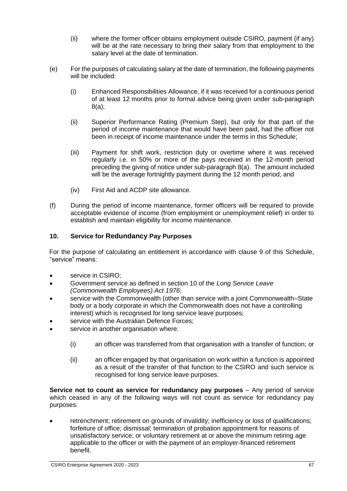- (ii) where the former officer obtains employment outside CSIRO, payment (if any) will be at the rate necessary to bring their salary from that employment to the salary level at the date of termination.
- (e) For the purposes of calculating salary at the date of termination, the following payments will be included:
	- (i) Enhanced Responsibilities Allowance, if it was received for a continuous period of at least 12 months prior to formal advice being given under sub-paragraph 8(a);
	- (ii) Superior Performance Rating (Premium Step), but only for that part of the period of income maintenance that would have been paid, had the officer not been in receipt of income maintenance under the terms in this Schedule;
	- (iii) Payment for shift work, restriction duty or overtime where it was received regularly i.e. in 50% or more of the pays received in the 12-month period preceding the giving of notice under sub-paragraph 8(a). The amount included will be the average fortnightly payment during the 12 month period; and
	- (iv) First Aid and ACDP site allowance.
- (f) During the period of income maintenance, former officers will be required to provide acceptable evidence of income (from employment or unemployment relief) in order to establish and maintain eligibility for income maintenance.

# **10. Service for Redundancy Pay Purposes**

For the purpose of calculating an entitlement in accordance with clause 9 of this Schedule, "service" means:

- service in CSIRO;
- Government service as defined in section 10 of the *Long Service Leave (Commonwealth Employees) Act 1976*;
- service with the Commonwealth (other than service with a joint Commonwealth–State body or a body corporate in which the Commonwealth does not have a controlling interest) which is recognised for long service leave purposes;
- service with the Australian Defence Forces;
- service in another organisation where:
	- (i) an officer was transferred from that organisation with a transfer of function; or
	- (ii) an officer engaged by that organisation on work within a function is appointed as a result of the transfer of that function to the CSIRO and such service is recognised for long service leave purposes.

**Service not to count as service for redundancy pay purposes** – Any period of service which ceased in any of the following ways will not count as service for redundancy pay purposes:

• retrenchment; retirement on grounds of invalidity; inefficiency or loss of qualifications; forfeiture of office; dismissal; termination of probation appointment for reasons of unsatisfactory service; or voluntary retirement at or above the minimum retiring age applicable to the officer or with the payment of an employer-financed retirement benefit.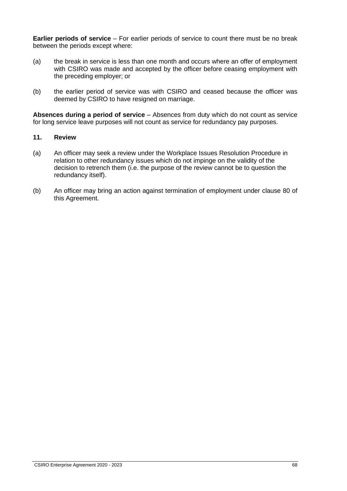**Earlier periods of service** – For earlier periods of service to count there must be no break between the periods except where:

- (a) the break in service is less than one month and occurs where an offer of employment with CSIRO was made and accepted by the officer before ceasing employment with the preceding employer; or
- (b) the earlier period of service was with CSIRO and ceased because the officer was deemed by CSIRO to have resigned on marriage.

**Absences during a period of service** – Absences from duty which do not count as service for long service leave purposes will not count as service for redundancy pay purposes.

# **11. Review**

- (a) An officer may seek a review under the Workplace Issues Resolution Procedure in relation to other redundancy issues which do not impinge on the validity of the decision to retrench them (i.e. the purpose of the review cannot be to question the redundancy itself).
- (b) An officer may bring an action against termination of employment under clause 80 of this Agreement.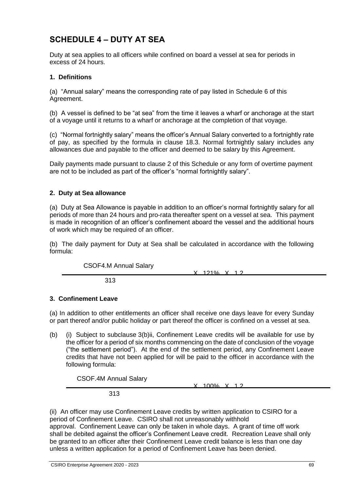# **SCHEDULE 4 – DUTY AT SEA**

Duty at sea applies to all officers while confined on board a vessel at sea for periods in excess of 24 hours.

# **1. Definitions**

(a) "Annual salary" means the corresponding rate of pay listed in Schedule 6 of this Agreement.

(b) A vessel is defined to be "at sea" from the time it leaves a wharf or anchorage at the start of a voyage until it returns to a wharf or anchorage at the completion of that voyage.

(c) "Normal fortnightly salary" means the officer's Annual Salary converted to a fortnightly rate of pay, as specified by the formula in clause 18.3. Normal fortnightly salary includes any allowances due and payable to the officer and deemed to be salary by this Agreement.

Daily payments made pursuant to clause 2 of this Schedule or any form of overtime payment are not to be included as part of the officer's "normal fortnightly salary".

### **2. Duty at Sea allowance**

(a) Duty at Sea Allowance is payable in addition to an officer's normal fortnightly salary for all periods of more than 24 hours and pro-rata thereafter spent on a vessel at sea. This payment is made in recognition of an officer's confinement aboard the vessel and the additional hours of work which may be required of an officer.

(b) The daily payment for Duty at Sea shall be calculated in accordance with the following formula:

CSOF4.M Annual Salary

313

# **3. Confinement Leave**

(a) In addition to other entitlements an officer shall receive one days leave for every Sunday or part thereof and/or public holiday or part thereof the officer is confined on a vessel at sea.

(b) (i) Subject to subclause 3(b)ii, Confinement Leave credits will be available for use by the officer for a period of six months commencing on the date of conclusion of the voyage ("the settlement period"). At the end of the settlement period, any Confinement Leave credits that have not been applied for will be paid to the officer in accordance with the following formula:

CSOF.4M Annual Salary

X 100% X 1.2

X 121% X 12

313

(ii) An officer may use Confinement Leave credits by written application to CSIRO for a period of Confinement Leave. CSIRO shall not unreasonably withhold approval. Confinement Leave can only be taken in whole days. A grant of time off work shall be debited against the officer's Confinement Leave credit. Recreation Leave shall only be granted to an officer after their Confinement Leave credit balance is less than one day unless a written application for a period of Confinement Leave has been denied.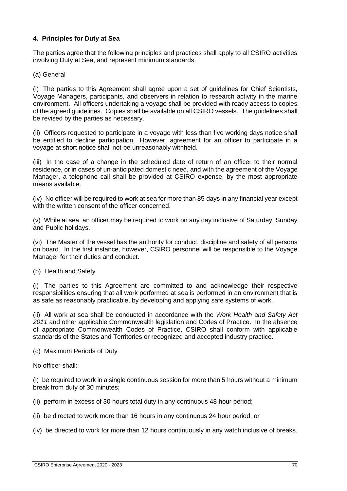# **4. Principles for Duty at Sea**

The parties agree that the following principles and practices shall apply to all CSIRO activities involving Duty at Sea, and represent minimum standards.

(a) General

(i) The parties to this Agreement shall agree upon a set of guidelines for Chief Scientists, Voyage Managers, participants, and observers in relation to research activity in the marine environment. All officers undertaking a voyage shall be provided with ready access to copies of the agreed guidelines. Copies shall be available on all CSIRO vessels. The guidelines shall be revised by the parties as necessary.

(ii) Officers requested to participate in a voyage with less than five working days notice shall be entitled to decline participation. However, agreement for an officer to participate in a voyage at short notice shall not be unreasonably withheld.

(iii) In the case of a change in the scheduled date of return of an officer to their normal residence, or in cases of un-anticipated domestic need, and with the agreement of the Voyage Manager, a telephone call shall be provided at CSIRO expense, by the most appropriate means available.

(iv) No officer will be required to work at sea for more than 85 days in any financial year except with the written consent of the officer concerned.

(v) While at sea, an officer may be required to work on any day inclusive of Saturday, Sunday and Public holidays.

(vi) The Master of the vessel has the authority for conduct, discipline and safety of all persons on board. In the first instance, however, CSIRO personnel will be responsible to the Voyage Manager for their duties and conduct.

(b) Health and Safety

(i) The parties to this Agreement are committed to and acknowledge their respective responsibilities ensuring that all work performed at sea is performed in an environment that is as safe as reasonably practicable, by developing and applying safe systems of work.

(ii) All work at sea shall be conducted in accordance with the *Work Health and Safety Act 2011* and other applicable Commonwealth legislation and Codes of Practice. In the absence of appropriate Commonwealth Codes of Practice, CSIRO shall conform with applicable standards of the States and Territories or recognized and accepted industry practice.

(c) Maximum Periods of Duty

No officer shall:

(i) be required to work in a single continuous session for more than 5 hours without a minimum break from duty of 30 minutes;

(ii) perform in excess of 30 hours total duty in any continuous 48 hour period;

- (ii) be directed to work more than 16 hours in any continuous 24 hour period; or
- (iv) be directed to work for more than 12 hours continuously in any watch inclusive of breaks.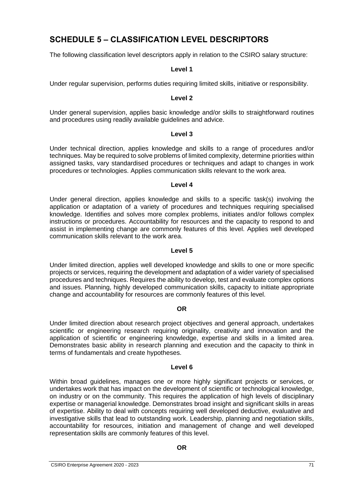# **SCHEDULE 5 – CLASSIFICATION LEVEL DESCRIPTORS**

The following classification level descriptors apply in relation to the CSIRO salary structure:

### **Level 1**

Under regular supervision, performs duties requiring limited skills, initiative or responsibility.

#### **Level 2**

Under general supervision, applies basic knowledge and/or skills to straightforward routines and procedures using readily available guidelines and advice.

#### **Level 3**

Under technical direction, applies knowledge and skills to a range of procedures and/or techniques. May be required to solve problems of limited complexity, determine priorities within assigned tasks, vary standardised procedures or techniques and adapt to changes in work procedures or technologies. Applies communication skills relevant to the work area.

#### **Level 4**

Under general direction, applies knowledge and skills to a specific task(s) involving the application or adaptation of a variety of procedures and techniques requiring specialised knowledge. Identifies and solves more complex problems, initiates and/or follows complex instructions or procedures. Accountability for resources and the capacity to respond to and assist in implementing change are commonly features of this level. Applies well developed communication skills relevant to the work area.

### **Level 5**

Under limited direction, applies well developed knowledge and skills to one or more specific projects or services, requiring the development and adaptation of a wider variety of specialised procedures and techniques. Requires the ability to develop, test and evaluate complex options and issues. Planning, highly developed communication skills, capacity to initiate appropriate change and accountability for resources are commonly features of this level.

### **OR**

Under limited direction about research project objectives and general approach, undertakes scientific or engineering research requiring originality, creativity and innovation and the application of scientific or engineering knowledge, expertise and skills in a limited area. Demonstrates basic ability in research planning and execution and the capacity to think in terms of fundamentals and create hypotheses.

# **Level 6**

Within broad guidelines, manages one or more highly significant projects or services, or undertakes work that has impact on the development of scientific or technological knowledge, on industry or on the community. This requires the application of high levels of disciplinary expertise or managerial knowledge. Demonstrates broad insight and significant skills in areas of expertise. Ability to deal with concepts requiring well developed deductive, evaluative and investigative skills that lead to outstanding work. Leadership, planning and negotiation skills, accountability for resources, initiation and management of change and well developed representation skills are commonly features of this level.

### **OR**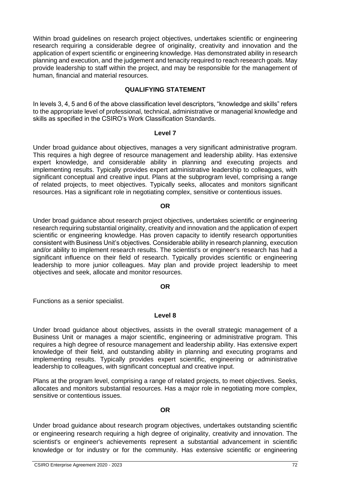Within broad guidelines on research project objectives, undertakes scientific or engineering research requiring a considerable degree of originality, creativity and innovation and the application of expert scientific or engineering knowledge. Has demonstrated ability in research planning and execution, and the judgement and tenacity required to reach research goals. May provide leadership to staff within the project, and may be responsible for the management of human, financial and material resources.

# **QUALIFYING STATEMENT**

In levels 3, 4, 5 and 6 of the above classification level descriptors, "knowledge and skills" refers to the appropriate level of professional, technical, administrative or managerial knowledge and skills as specified in the CSIRO's Work Classification Standards.

#### **Level 7**

Under broad guidance about objectives, manages a very significant administrative program. This requires a high degree of resource management and leadership ability. Has extensive expert knowledge, and considerable ability in planning and executing projects and implementing results. Typically provides expert administrative leadership to colleagues, with significant conceptual and creative input. Plans at the subprogram level, comprising a range of related projects, to meet objectives. Typically seeks, allocates and monitors significant resources. Has a significant role in negotiating complex, sensitive or contentious issues.

#### **OR**

Under broad guidance about research project objectives, undertakes scientific or engineering research requiring substantial originality, creativity and innovation and the application of expert scientific or engineering knowledge. Has proven capacity to identify research opportunities consistent with Business Unit's objectives. Considerable ability in research planning, execution and/or ability to implement research results. The scientist's or engineer's research has had a significant influence on their field of research. Typically provides scientific or engineering leadership to more junior colleagues. May plan and provide project leadership to meet objectives and seek, allocate and monitor resources.

### **OR**

Functions as a senior specialist.

### **Level 8**

Under broad guidance about objectives, assists in the overall strategic management of a Business Unit or manages a major scientific, engineering or administrative program. This requires a high degree of resource management and leadership ability. Has extensive expert knowledge of their field, and outstanding ability in planning and executing programs and implementing results. Typically provides expert scientific, engineering or administrative leadership to colleagues, with significant conceptual and creative input.

Plans at the program level, comprising a range of related projects, to meet objectives. Seeks, allocates and monitors substantial resources. Has a major role in negotiating more complex, sensitive or contentious issues.

#### **OR**

Under broad guidance about research program objectives, undertakes outstanding scientific or engineering research requiring a high degree of originality, creativity and innovation. The scientist's or engineer's achievements represent a substantial advancement in scientific knowledge or for industry or for the community. Has extensive scientific or engineering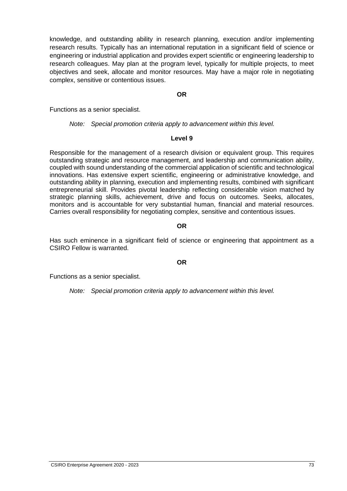knowledge, and outstanding ability in research planning, execution and/or implementing research results. Typically has an international reputation in a significant field of science or engineering or industrial application and provides expert scientific or engineering leadership to research colleagues. May plan at the program level, typically for multiple projects, to meet objectives and seek, allocate and monitor resources. May have a major role in negotiating complex, sensitive or contentious issues.

**OR**

Functions as a senior specialist.

*Note: Special promotion criteria apply to advancement within this level.*

### **Level 9**

Responsible for the management of a research division or equivalent group. This requires outstanding strategic and resource management, and leadership and communication ability, coupled with sound understanding of the commercial application of scientific and technological innovations. Has extensive expert scientific, engineering or administrative knowledge, and outstanding ability in planning, execution and implementing results, combined with significant entrepreneurial skill. Provides pivotal leadership reflecting considerable vision matched by strategic planning skills, achievement, drive and focus on outcomes. Seeks, allocates, monitors and is accountable for very substantial human, financial and material resources. Carries overall responsibility for negotiating complex, sensitive and contentious issues.

#### **OR**

Has such eminence in a significant field of science or engineering that appointment as a CSIRO Fellow is warranted.

#### **OR**

Functions as a senior specialist.

*Note: Special promotion criteria apply to advancement within this level.*